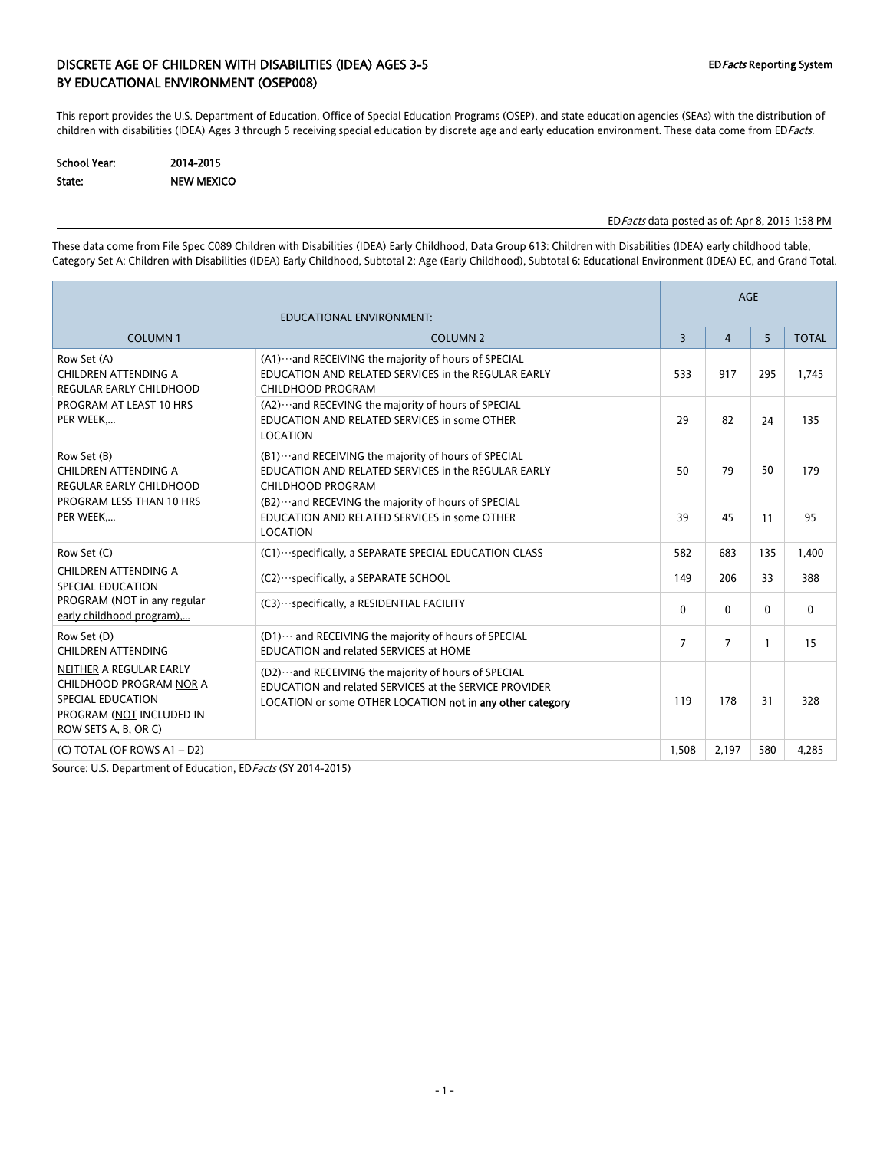### DISCRETE AGE OF CHILDREN WITH DISABILITIES (IDEA) AGES 3-5 EDFACTS Reporting System BY EDUCATIONAL ENVIRONMENT (OSEP008)

This report provides the U.S. Department of Education, Office of Special Education Programs (OSEP), and state education agencies (SEAs) with the distribution of children with disabilities (IDEA) Ages 3 through 5 receiving special education by discrete age and early education environment. These data come from EDFacts.

| <b>School Year:</b> | 2014-2015         |
|---------------------|-------------------|
| State:              | <b>NEW MEXICO</b> |

#### EDFacts data posted as of: Apr 8, 2015 1:58 PM

These data come from File Spec C089 Children with Disabilities (IDEA) Early Childhood, Data Group 613: Children with Disabilities (IDEA) early childhood table, Category Set A: Children with Disabilities (IDEA) Early Childhood, Subtotal 2: Age (Early Childhood), Subtotal 6: Educational Environment (IDEA) EC, and Grand Total.

|                                                                                                                                    |                                                                                                                                                                             | <b>AGE</b>     |                |              |              |  |
|------------------------------------------------------------------------------------------------------------------------------------|-----------------------------------------------------------------------------------------------------------------------------------------------------------------------------|----------------|----------------|--------------|--------------|--|
|                                                                                                                                    |                                                                                                                                                                             |                |                |              |              |  |
| <b>COLUMN1</b>                                                                                                                     | <b>COLUMN 2</b>                                                                                                                                                             | 3              | $\overline{4}$ | 5            | <b>TOTAL</b> |  |
| Row Set (A)<br>CHILDREN ATTENDING A<br><b>REGULAR EARLY CHILDHOOD</b>                                                              | (A1)  and RECEIVING the majority of hours of SPECIAL<br>EDUCATION AND RELATED SERVICES in the REGULAR EARLY<br><b>CHILDHOOD PROGRAM</b>                                     | 533            | 917            | 295          | 1.745        |  |
| PROGRAM AT LEAST 10 HRS<br>PER WEEK                                                                                                | (A2)  and RECEVING the majority of hours of SPECIAL<br>EDUCATION AND RELATED SERVICES in some OTHER<br><b>LOCATION</b>                                                      | 29             | 82             | 24           | 135          |  |
| Row Set (B)<br>CHILDREN ATTENDING A<br><b>REGULAR EARLY CHILDHOOD</b>                                                              | (B1) ··· and RECEIVING the majority of hours of SPECIAL<br>EDUCATION AND RELATED SERVICES in the REGULAR EARLY<br>CHILDHOOD PROGRAM                                         | 50             | 79             | 50           | 179          |  |
| PROGRAM LESS THAN 10 HRS<br>PER WEEK                                                                                               | (B2)  and RECEVING the majority of hours of SPECIAL<br>EDUCATION AND RELATED SERVICES in some OTHER<br><b>LOCATION</b>                                                      | 39             | 45             | 11           | 95           |  |
| Row Set (C)                                                                                                                        | (C1) ··· specifically, a SEPARATE SPECIAL EDUCATION CLASS                                                                                                                   | 582            | 683            | 135          | 1,400        |  |
| CHILDREN ATTENDING A<br><b>SPECIAL EDUCATION</b>                                                                                   | (C2) · ·· specifically, a SEPARATE SCHOOL                                                                                                                                   | 149            | 206            | 33           | 388          |  |
| PROGRAM (NOT in any regular<br>early childhood program)                                                                            | (C3) ··· specifically, a RESIDENTIAL FACILITY                                                                                                                               | $\mathbf{0}$   | 0              | $\mathbf{0}$ | $\mathbf 0$  |  |
| Row Set (D)<br><b>CHILDREN ATTENDING</b>                                                                                           | (D1) ··· and RECEIVING the majority of hours of SPECIAL<br>EDUCATION and related SERVICES at HOME                                                                           | $\overline{7}$ | $\overline{7}$ | 1            | 15           |  |
| NEITHER A REGULAR EARLY<br>CHILDHOOD PROGRAM NOR A<br><b>SPECIAL EDUCATION</b><br>PROGRAM (NOT INCLUDED IN<br>ROW SETS A, B, OR C) | (D2)  and RECEIVING the majority of hours of SPECIAL<br>EDUCATION and related SERVICES at the SERVICE PROVIDER<br>LOCATION or some OTHER LOCATION not in any other category | 119            | 178            | 31           | 328          |  |
| (C) TOTAL (OF ROWS A1 - D2)                                                                                                        |                                                                                                                                                                             | 1,508          | 2,197          | 580          | 4,285        |  |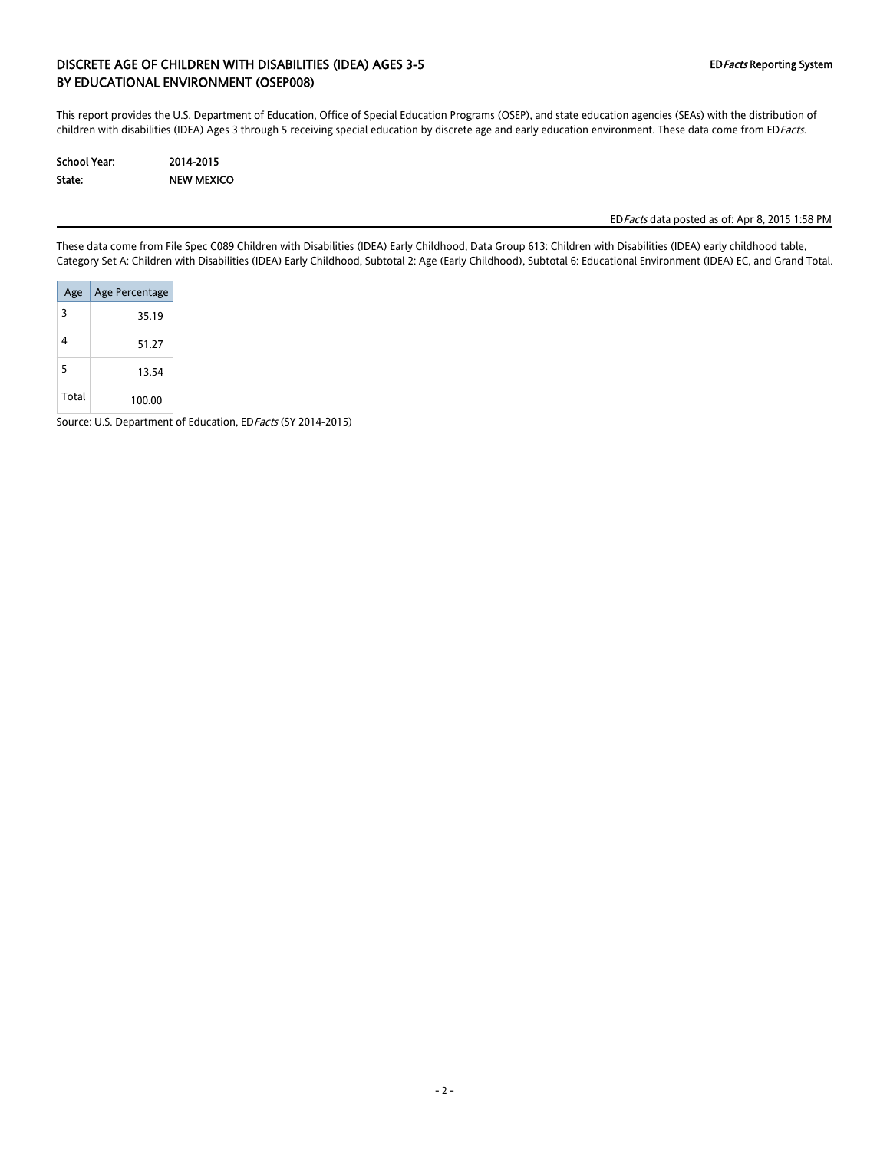### DISCRETE AGE OF CHILDREN WITH DISABILITIES (IDEA) AGES 3-5 EDFacts Reporting System BY EDUCATIONAL ENVIRONMENT (OSEP008)

This report provides the U.S. Department of Education, Office of Special Education Programs (OSEP), and state education agencies (SEAs) with the distribution of children with disabilities (IDEA) Ages 3 through 5 receiving special education by discrete age and early education environment. These data come from EDFacts.

| School Year: | 2014-2015         |
|--------------|-------------------|
| State:       | <b>NEW MEXICO</b> |

EDFacts data posted as of: Apr 8, 2015 1:58 PM

These data come from File Spec C089 Children with Disabilities (IDEA) Early Childhood, Data Group 613: Children with Disabilities (IDEA) early childhood table, Category Set A: Children with Disabilities (IDEA) Early Childhood, Subtotal 2: Age (Early Childhood), Subtotal 6: Educational Environment (IDEA) EC, and Grand Total.

| Age   | Age Percentage |
|-------|----------------|
| 3     | 35.19          |
| 4     | 51 27          |
| 5     | 13.54          |
| Total | 100.00         |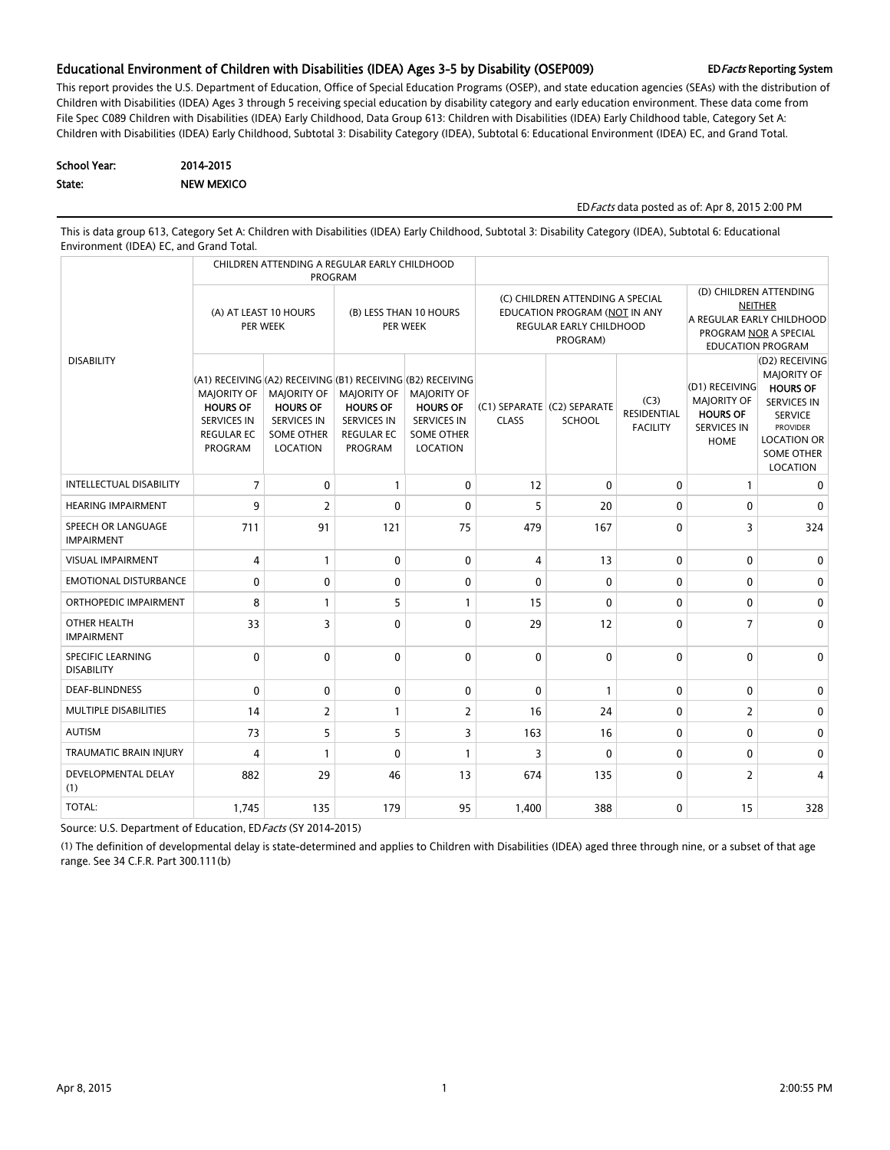#### Educational Environment of Children with Disabilities (IDEA) Ages 3-5 by Disability (OSEP009) EDFacts Reporting System

This report provides the U.S. Department of Education, Office of Special Education Programs (OSEP), and state education agencies (SEAs) with the distribution of Children with Disabilities (IDEA) Ages 3 through 5 receiving special education by disability category and early education environment. These data come from File Spec C089 Children with Disabilities (IDEA) Early Childhood, Data Group 613: Children with Disabilities (IDEA) Early Childhood table, Category Set A: Children with Disabilities (IDEA) Early Childhood, Subtotal 3: Disability Category (IDEA), Subtotal 6: Educational Environment (IDEA) EC, and Grand Total.

| School Year: | 2014-2015         |
|--------------|-------------------|
| State:       | <b>NEW MEXICO</b> |

#### EDFacts data posted as of: Apr 8, 2015 2:00 PM

This is data group 613, Category Set A: Children with Disabilities (IDEA) Early Childhood, Subtotal 3: Disability Category (IDEA), Subtotal 6: Educational Environment (IDEA) EC, and Grand Total.

|                                         |                                                                                                                                                                   | <b>PROGRAM</b>                                                                                      | CHILDREN ATTENDING A REGULAR EARLY CHILDHOOD                                                       |                                                                                              |                |                                                                                                                 |                                                                                                                            |                                                                                              |                                                                                                                                                                           |
|-----------------------------------------|-------------------------------------------------------------------------------------------------------------------------------------------------------------------|-----------------------------------------------------------------------------------------------------|----------------------------------------------------------------------------------------------------|----------------------------------------------------------------------------------------------|----------------|-----------------------------------------------------------------------------------------------------------------|----------------------------------------------------------------------------------------------------------------------------|----------------------------------------------------------------------------------------------|---------------------------------------------------------------------------------------------------------------------------------------------------------------------------|
|                                         | (A) AT LEAST 10 HOURS<br>PER WEEK                                                                                                                                 |                                                                                                     | (B) LESS THAN 10 HOURS<br>PER WEEK                                                                 |                                                                                              |                | (C) CHILDREN ATTENDING A SPECIAL<br>EDUCATION PROGRAM (NOT IN ANY<br><b>REGULAR EARLY CHILDHOOD</b><br>PROGRAM) | (D) CHILDREN ATTENDING<br><b>NEITHER</b><br>A REGULAR EARLY CHILDHOOD<br>PROGRAM NOR A SPECIAL<br><b>EDUCATION PROGRAM</b> |                                                                                              |                                                                                                                                                                           |
| <b>DISABILITY</b>                       | (A1) RECEIVING (A2) RECEIVING (B1) RECEIVING (B2) RECEIVING<br><b>MAJORITY OF</b><br><b>HOURS OF</b><br><b>SERVICES IN</b><br><b>REGULAR EC</b><br><b>PROGRAM</b> | <b>MAJORITY OF</b><br><b>HOURS OF</b><br><b>SERVICES IN</b><br><b>SOME OTHER</b><br><b>LOCATION</b> | <b>MAJORITY OF</b><br><b>HOURS OF</b><br><b>SERVICES IN</b><br><b>REGULAR EC</b><br><b>PROGRAM</b> | <b>MAJORITY OF</b><br><b>HOURS OF</b><br><b>SERVICES IN</b><br><b>SOME OTHER</b><br>LOCATION | <b>CLASS</b>   | (C1) SEPARATE (C2) SEPARATE<br><b>SCHOOL</b>                                                                    | (C3)<br><b>RESIDENTIAL</b><br><b>FACILITY</b>                                                                              | (D1) RECEIVING<br><b>MAJORITY OF</b><br><b>HOURS OF</b><br><b>SERVICES IN</b><br><b>HOME</b> | (D2) RECEIVING<br><b>MAJORITY OF</b><br><b>HOURS OF</b><br><b>SERVICES IN</b><br><b>SERVICE</b><br><b>PROVIDER</b><br><b>LOCATION OR</b><br><b>SOME OTHER</b><br>LOCATION |
| <b>INTELLECTUAL DISABILITY</b>          | $\overline{7}$                                                                                                                                                    | $\mathbf 0$                                                                                         | $\mathbf{1}$                                                                                       | $\mathbf{0}$                                                                                 | 12             | 0                                                                                                               | $\mathbf 0$                                                                                                                | 1                                                                                            | $\mathbf{0}$                                                                                                                                                              |
| <b>HEARING IMPAIRMENT</b>               | 9                                                                                                                                                                 | $\overline{2}$                                                                                      | $\mathbf{0}$                                                                                       | $\mathbf{0}$                                                                                 | 5              | 20                                                                                                              | $\mathbf 0$                                                                                                                | $\mathbf{0}$                                                                                 | $\mathbf{0}$                                                                                                                                                              |
| SPEECH OR LANGUAGE<br><b>IMPAIRMENT</b> | 711                                                                                                                                                               | 91                                                                                                  | 121                                                                                                | 75                                                                                           | 479            | 167                                                                                                             | $\mathbf 0$                                                                                                                | 3                                                                                            | 324                                                                                                                                                                       |
| <b>VISUAL IMPAIRMENT</b>                | 4                                                                                                                                                                 | $\mathbf{1}$                                                                                        | $\mathbf{0}$                                                                                       | $\mathbf{0}$                                                                                 | $\overline{4}$ | 13                                                                                                              | 0                                                                                                                          | $\mathbf{0}$                                                                                 | $\Omega$                                                                                                                                                                  |
| <b>EMOTIONAL DISTURBANCE</b>            | 0                                                                                                                                                                 | $\mathbf 0$                                                                                         | $\mathbf{0}$                                                                                       | $\mathbf{0}$                                                                                 | $\mathbf{0}$   | 0                                                                                                               | 0                                                                                                                          | 0                                                                                            | $\mathbf{0}$                                                                                                                                                              |
| ORTHOPEDIC IMPAIRMENT                   | 8                                                                                                                                                                 | $\mathbf{1}$                                                                                        | 5                                                                                                  | $\mathbf{1}$                                                                                 | 15             | $\mathbf{0}$                                                                                                    | 0                                                                                                                          | $\Omega$                                                                                     | 0                                                                                                                                                                         |
| OTHER HEALTH<br><b>IMPAIRMENT</b>       | 33                                                                                                                                                                | 3                                                                                                   | $\Omega$                                                                                           | $\Omega$                                                                                     | 29             | 12                                                                                                              | $\mathbf{0}$                                                                                                               | $\overline{7}$                                                                               | $\Omega$                                                                                                                                                                  |
| SPECIFIC LEARNING<br><b>DISABILITY</b>  | $\mathbf{0}$                                                                                                                                                      | $\mathbf{0}$                                                                                        | $\mathbf{0}$                                                                                       | $\mathbf{0}$                                                                                 | $\mathbf{0}$   | $\mathbf{0}$                                                                                                    | $\mathbf{0}$                                                                                                               | 0                                                                                            | $\mathbf{0}$                                                                                                                                                              |
| <b>DEAF-BLINDNESS</b>                   | 0                                                                                                                                                                 | $\mathbf 0$                                                                                         | $\mathbf 0$                                                                                        | $\mathbf{0}$                                                                                 | $\mathbf 0$    | 1                                                                                                               | 0                                                                                                                          | $\mathbf{0}$                                                                                 | 0                                                                                                                                                                         |
| MULTIPLE DISABILITIES                   | 14                                                                                                                                                                | $\overline{2}$                                                                                      | $\mathbf{1}$                                                                                       | $\overline{2}$                                                                               | 16             | 24                                                                                                              | 0                                                                                                                          | $\overline{2}$                                                                               | $\mathbf{0}$                                                                                                                                                              |
| <b>AUTISM</b>                           | 73                                                                                                                                                                | 5                                                                                                   | 5                                                                                                  | 3                                                                                            | 163            | 16                                                                                                              | 0                                                                                                                          | 0                                                                                            | 0                                                                                                                                                                         |
| <b>TRAUMATIC BRAIN INJURY</b>           | 4                                                                                                                                                                 | $\mathbf{1}$                                                                                        | $\mathbf{0}$                                                                                       | $\mathbf{1}$                                                                                 | 3              | $\mathbf{0}$                                                                                                    | $\mathbf 0$                                                                                                                | $\mathbf{0}$                                                                                 | 0                                                                                                                                                                         |
| <b>DEVELOPMENTAL DELAY</b><br>(1)       | 882                                                                                                                                                               | 29                                                                                                  | 46                                                                                                 | 13                                                                                           | 674            | 135                                                                                                             | $\mathbf{0}$                                                                                                               | $\overline{2}$                                                                               | $\overline{4}$                                                                                                                                                            |
| <b>TOTAL:</b>                           | 1,745                                                                                                                                                             | 135                                                                                                 | 179                                                                                                | 95                                                                                           | 1,400          | 388                                                                                                             | 0                                                                                                                          | 15                                                                                           | 328                                                                                                                                                                       |

Source: U.S. Department of Education, EDFacts (SY 2014-2015)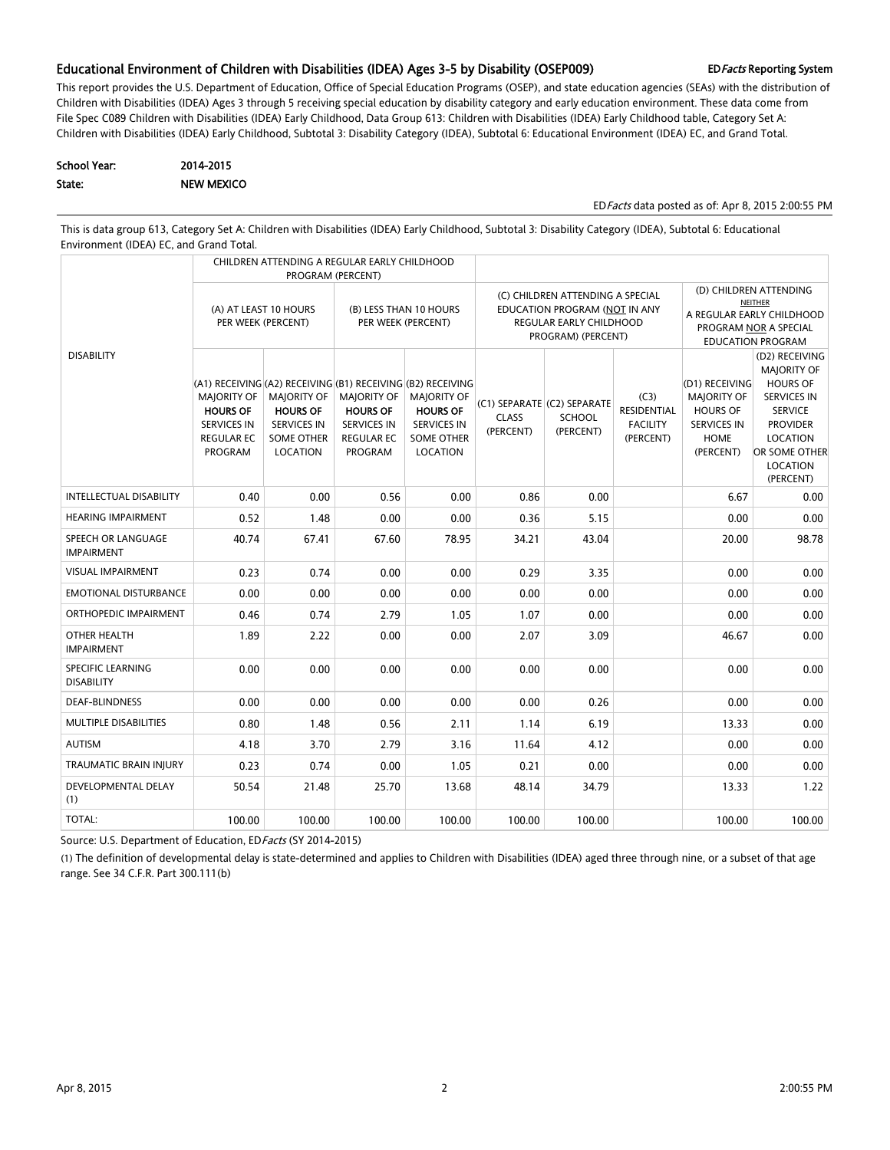#### Educational Environment of Children with Disabilities (IDEA) Ages 3-5 by Disability (OSEP009) EDFacts Reporting System

This report provides the U.S. Department of Education, Office of Special Education Programs (OSEP), and state education agencies (SEAs) with the distribution of Children with Disabilities (IDEA) Ages 3 through 5 receiving special education by disability category and early education environment. These data come from File Spec C089 Children with Disabilities (IDEA) Early Childhood, Data Group 613: Children with Disabilities (IDEA) Early Childhood table, Category Set A: Children with Disabilities (IDEA) Early Childhood, Subtotal 3: Disability Category (IDEA), Subtotal 6: Educational Environment (IDEA) EC, and Grand Total.

| School Year: | 2014-2015         |
|--------------|-------------------|
| State:       | <b>NEW MEXICO</b> |

EDFacts data posted as of: Apr 8, 2015 2:00:55 PM

This is data group 613, Category Set A: Children with Disabilities (IDEA) Early Childhood, Subtotal 3: Disability Category (IDEA), Subtotal 6: Educational Environment (IDEA) EC, and Grand Total.

|                                               |                                                                                             | CHILDREN ATTENDING A REGULAR EARLY CHILDHOOD                                                                                                                       | PROGRAM (PERCENT)                                                                    |                                                                                              |                           |                                                                                                                    |                                                                                                                     |                                                                                             |                                                                                                                                                                          |
|-----------------------------------------------|---------------------------------------------------------------------------------------------|--------------------------------------------------------------------------------------------------------------------------------------------------------------------|--------------------------------------------------------------------------------------|----------------------------------------------------------------------------------------------|---------------------------|--------------------------------------------------------------------------------------------------------------------|---------------------------------------------------------------------------------------------------------------------|---------------------------------------------------------------------------------------------|--------------------------------------------------------------------------------------------------------------------------------------------------------------------------|
|                                               | PER WEEK (PERCENT)                                                                          | (A) AT LEAST 10 HOURS                                                                                                                                              | (B) LESS THAN 10 HOURS<br>PER WEEK (PERCENT)                                         |                                                                                              |                           | (C) CHILDREN ATTENDING A SPECIAL<br>EDUCATION PROGRAM (NOT IN ANY<br>REGULAR EARLY CHILDHOOD<br>PROGRAM) (PERCENT) | (D) CHILDREN ATTENDING<br>NEITHER<br>A REGULAR EARLY CHILDHOOD<br>PROGRAM NOR A SPECIAL<br><b>EDUCATION PROGRAM</b> |                                                                                             |                                                                                                                                                                          |
| <b>DISABILITY</b>                             | MAJORITY OF<br><b>HOURS OF</b><br><b>SERVICES IN</b><br><b>REGULAR EC</b><br><b>PROGRAM</b> | (A1) RECEIVING (A2) RECEIVING (B1) RECEIVING (B2) RECEIVING<br><b>MAJORITY OF</b><br><b>HOURS OF</b><br><b>SERVICES IN</b><br><b>SOME OTHER</b><br><b>LOCATION</b> | MAJORITY OF<br><b>HOURS OF</b><br><b>SERVICES IN</b><br><b>REGULAR EC</b><br>PROGRAM | MAJORITY OF<br><b>HOURS OF</b><br><b>SERVICES IN</b><br><b>SOME OTHER</b><br><b>LOCATION</b> | <b>CLASS</b><br>(PERCENT) | (C1) SEPARATE (C2) SEPARATE<br><b>SCHOOL</b><br>(PERCENT)                                                          | (C3)<br><b>RESIDENTIAL</b><br><b>FACILITY</b><br>(PERCENT)                                                          | (D1) RECEIVING<br>MAJORITY OF<br><b>HOURS OF</b><br><b>SERVICES IN</b><br>HOME<br>(PERCENT) | (D2) RECEIVING<br><b>MAJORITY OF</b><br><b>HOURS OF</b><br><b>SERVICES IN</b><br><b>SERVICE</b><br><b>PROVIDER</b><br>LOCATION<br>OR SOME OTHER<br>LOCATION<br>(PERCENT) |
| INTELLECTUAL DISABILITY                       | 0.40                                                                                        | 0.00                                                                                                                                                               | 0.56                                                                                 | 0.00                                                                                         | 0.86                      | 0.00                                                                                                               |                                                                                                                     | 6.67                                                                                        | 0.00                                                                                                                                                                     |
| <b>HEARING IMPAIRMENT</b>                     | 0.52                                                                                        | 1.48                                                                                                                                                               | 0.00                                                                                 | 0.00                                                                                         | 0.36                      | 5.15                                                                                                               |                                                                                                                     | 0.00                                                                                        | 0.00                                                                                                                                                                     |
| SPEECH OR LANGUAGE<br><b>IMPAIRMENT</b>       | 40.74                                                                                       | 67.41                                                                                                                                                              | 67.60                                                                                | 78.95                                                                                        | 34.21                     | 43.04                                                                                                              |                                                                                                                     | 20.00                                                                                       | 98.78                                                                                                                                                                    |
| <b>VISUAL IMPAIRMENT</b>                      | 0.23                                                                                        | 0.74                                                                                                                                                               | 0.00                                                                                 | 0.00                                                                                         | 0.29                      | 3.35                                                                                                               |                                                                                                                     | 0.00                                                                                        | 0.00                                                                                                                                                                     |
| <b>EMOTIONAL DISTURBANCE</b>                  | 0.00                                                                                        | 0.00                                                                                                                                                               | 0.00                                                                                 | 0.00                                                                                         | 0.00                      | 0.00                                                                                                               |                                                                                                                     | 0.00                                                                                        | 0.00                                                                                                                                                                     |
| ORTHOPEDIC IMPAIRMENT                         | 0.46                                                                                        | 0.74                                                                                                                                                               | 2.79                                                                                 | 1.05                                                                                         | 1.07                      | 0.00                                                                                                               |                                                                                                                     | 0.00                                                                                        | 0.00                                                                                                                                                                     |
| OTHER HEALTH<br><b>IMPAIRMENT</b>             | 1.89                                                                                        | 2.22                                                                                                                                                               | 0.00                                                                                 | 0.00                                                                                         | 2.07                      | 3.09                                                                                                               |                                                                                                                     | 46.67                                                                                       | 0.00                                                                                                                                                                     |
| <b>SPECIFIC LEARNING</b><br><b>DISABILITY</b> | 0.00                                                                                        | 0.00                                                                                                                                                               | 0.00                                                                                 | 0.00                                                                                         | 0.00                      | 0.00                                                                                                               |                                                                                                                     | 0.00                                                                                        | 0.00                                                                                                                                                                     |
| <b>DEAF-BLINDNESS</b>                         | 0.00                                                                                        | 0.00                                                                                                                                                               | 0.00                                                                                 | 0.00                                                                                         | 0.00                      | 0.26                                                                                                               |                                                                                                                     | 0.00                                                                                        | 0.00                                                                                                                                                                     |
| MULTIPLE DISABILITIES                         | 0.80                                                                                        | 1.48                                                                                                                                                               | 0.56                                                                                 | 2.11                                                                                         | 1.14                      | 6.19                                                                                                               |                                                                                                                     | 13.33                                                                                       | 0.00                                                                                                                                                                     |
| <b>AUTISM</b>                                 | 4.18                                                                                        | 3.70                                                                                                                                                               | 2.79                                                                                 | 3.16                                                                                         | 11.64                     | 4.12                                                                                                               |                                                                                                                     | 0.00                                                                                        | 0.00                                                                                                                                                                     |
| <b>TRAUMATIC BRAIN INJURY</b>                 | 0.23                                                                                        | 0.74                                                                                                                                                               | 0.00                                                                                 | 1.05                                                                                         | 0.21                      | 0.00                                                                                                               |                                                                                                                     | 0.00                                                                                        | 0.00                                                                                                                                                                     |
| <b>DEVELOPMENTAL DELAY</b><br>(1)             | 50.54                                                                                       | 21.48                                                                                                                                                              | 25.70                                                                                | 13.68                                                                                        | 48.14                     | 34.79                                                                                                              |                                                                                                                     | 13.33                                                                                       | 1.22                                                                                                                                                                     |
| TOTAL:                                        | 100.00                                                                                      | 100.00                                                                                                                                                             | 100.00                                                                               | 100.00                                                                                       | 100.00                    | 100.00                                                                                                             |                                                                                                                     | 100.00                                                                                      | 100.00                                                                                                                                                                   |

Source: U.S. Department of Education, ED Facts (SY 2014-2015)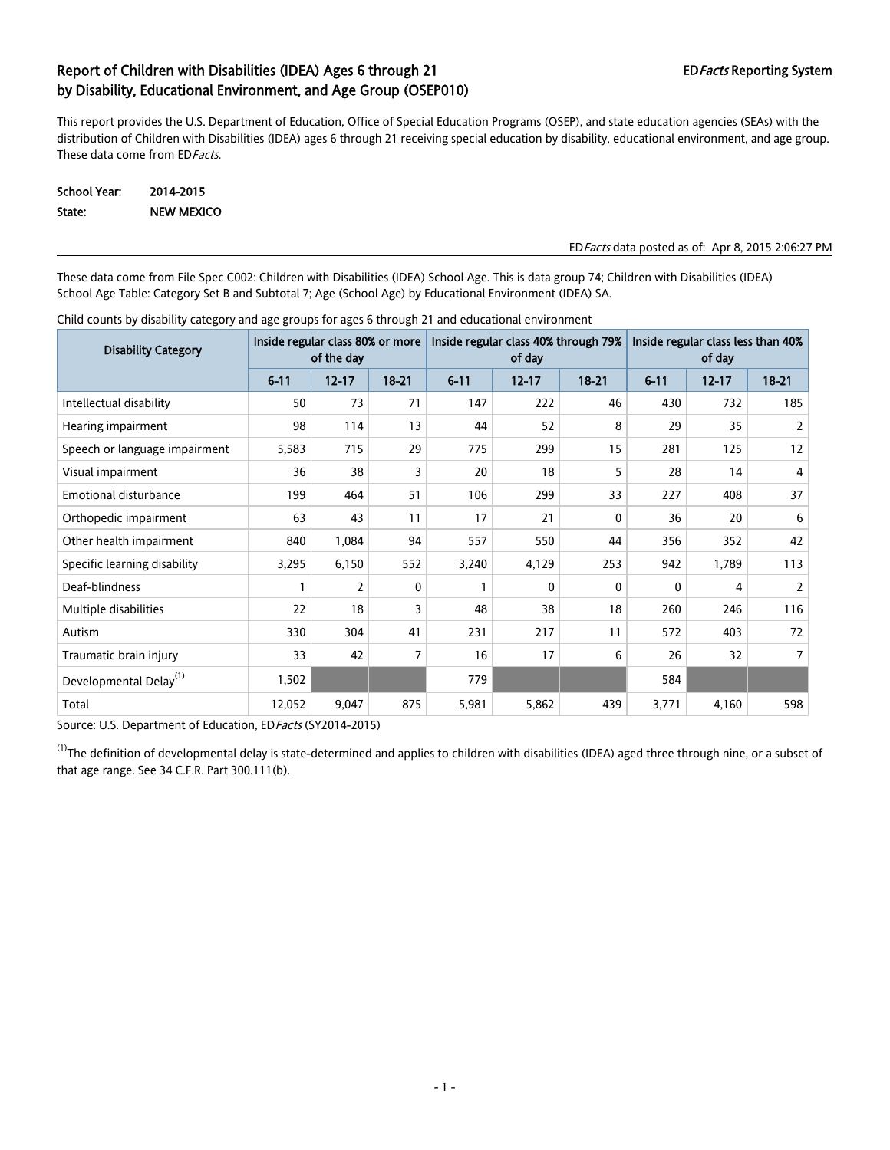This report provides the U.S. Department of Education, Office of Special Education Programs (OSEP), and state education agencies (SEAs) with the distribution of Children with Disabilities (IDEA) ages 6 through 21 receiving special education by disability, educational environment, and age group. These data come from ED Facts.

School Year: 2014-2015 State: NEW MEXICO

#### EDFacts data posted as of: Apr 8, 2015 2:06:27 PM

These data come from File Spec C002: Children with Disabilities (IDEA) School Age. This is data group 74; Children with Disabilities (IDEA) School Age Table: Category Set B and Subtotal 7; Age (School Age) by Educational Environment (IDEA) SA.

| <b>Disability Category</b>         | Inside regular class 80% or more<br>of the day |           |                |          | Inside regular class 40% through 79%<br>of day |              | Inside regular class less than 40%<br>of day |           |                |
|------------------------------------|------------------------------------------------|-----------|----------------|----------|------------------------------------------------|--------------|----------------------------------------------|-----------|----------------|
|                                    | $6 - 11$                                       | $12 - 17$ | $18 - 21$      | $6 - 11$ | $12 - 17$                                      | $18 - 21$    | $6 - 11$                                     | $12 - 17$ | $18 - 21$      |
| Intellectual disability            | 50                                             | 73        | 71             | 147      | 222                                            | 46           | 430                                          | 732       | 185            |
| Hearing impairment                 | 98                                             | 114       | 13             | 44       | 52                                             | 8            | 29                                           | 35        | $\mathbf{2}$   |
| Speech or language impairment      | 5,583                                          | 715       | 29             | 775      | 299                                            | 15           | 281                                          | 125       | 12             |
| Visual impairment                  | 36                                             | 38        | 3              | 20       | 18                                             | 5            | 28                                           | 14        | 4              |
| <b>Emotional disturbance</b>       | 199                                            | 464       | 51             | 106      | 299                                            | 33           | 227                                          | 408       | 37             |
| Orthopedic impairment              | 63                                             | 43        | 11             | 17       | 21                                             | $\mathbf{0}$ | 36                                           | 20        | 6              |
| Other health impairment            | 840                                            | 1,084     | 94             | 557      | 550                                            | 44           | 356                                          | 352       | 42             |
| Specific learning disability       | 3,295                                          | 6,150     | 552            | 3,240    | 4,129                                          | 253          | 942                                          | 1,789     | 113            |
| Deaf-blindness                     |                                                | 2         | 0              |          | 0                                              | 0            | 0                                            | 4         | 2              |
| Multiple disabilities              | 22                                             | 18        | 3              | 48       | 38                                             | 18           | 260                                          | 246       | 116            |
| Autism                             | 330                                            | 304       | 41             | 231      | 217                                            | 11           | 572                                          | 403       | 72             |
| Traumatic brain injury             | 33                                             | 42        | $\overline{7}$ | 16       | 17                                             | 6            | 26                                           | 32        | $\overline{7}$ |
| Developmental Delay <sup>(1)</sup> | 1,502                                          |           |                | 779      |                                                |              | 584                                          |           |                |
| Total                              | 12,052                                         | 9,047     | 875            | 5,981    | 5,862                                          | 439          | 3,771                                        | 4,160     | 598            |

Child counts by disability category and age groups for ages 6 through 21 and educational environment

Source: U.S. Department of Education, ED Facts (SY2014-2015)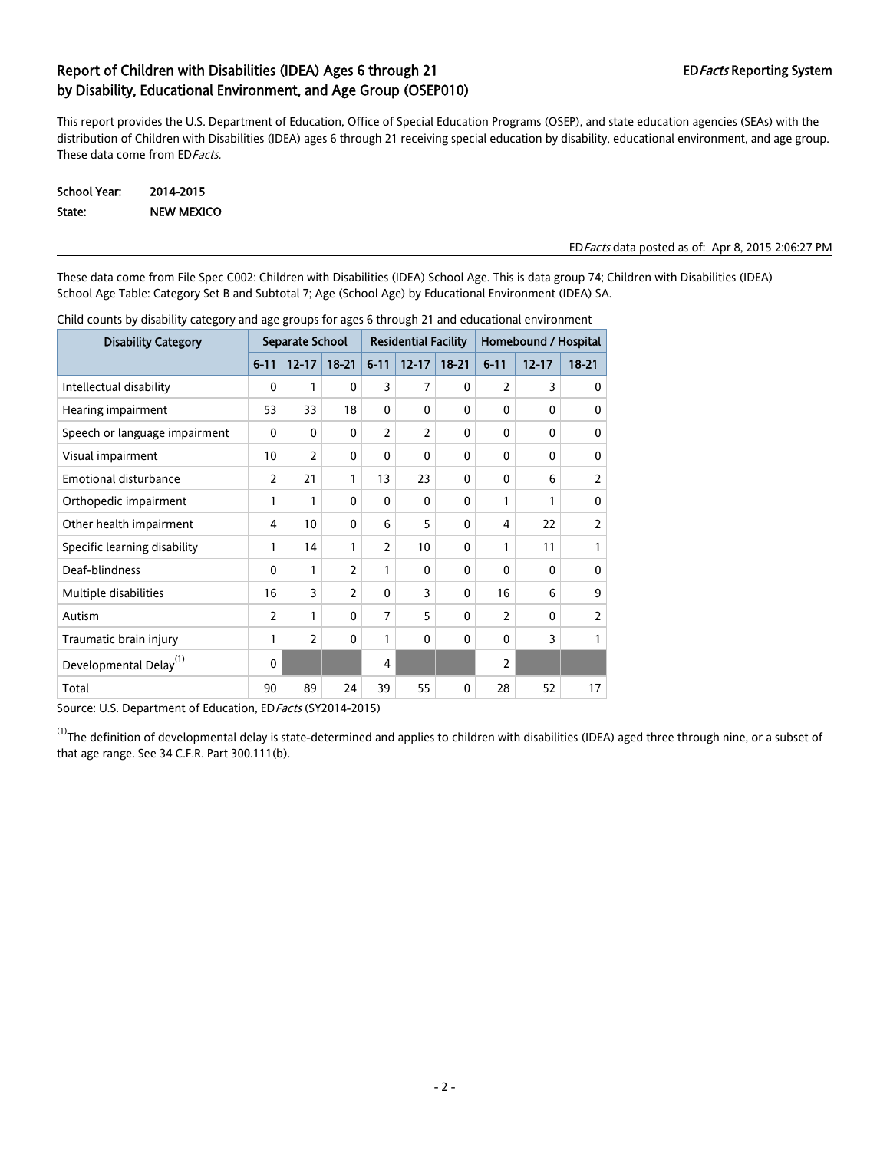This report provides the U.S. Department of Education, Office of Special Education Programs (OSEP), and state education agencies (SEAs) with the distribution of Children with Disabilities (IDEA) ages 6 through 21 receiving special education by disability, educational environment, and age group. These data come from ED Facts.

| School Year: | 2014-2015         |
|--------------|-------------------|
| State:       | <b>NEW MEXICO</b> |

#### EDFacts data posted as of: Apr 8, 2015 2:06:27 PM

These data come from File Spec C002: Children with Disabilities (IDEA) School Age. This is data group 74; Children with Disabilities (IDEA) School Age Table: Category Set B and Subtotal 7; Age (School Age) by Educational Environment (IDEA) SA.

| <b>Disability Category</b>         | Separate School |                |                | <b>Residential Facility</b> |                |              | Homebound / Hospital |           |                |
|------------------------------------|-----------------|----------------|----------------|-----------------------------|----------------|--------------|----------------------|-----------|----------------|
|                                    | $6 - 11$        | $12 - 17$      | $18 - 21$      | $6 - 11$                    | $12 - 17$      | $18 - 21$    | $6 - 11$             | $12 - 17$ | $18 - 21$      |
| Intellectual disability            | 0               | 1              | 0              | 3                           | $\overline{7}$ | 0            | $\overline{2}$       | 3         | $\mathbf{0}$   |
| Hearing impairment                 | 53              | 33             | 18             | 0                           | $\mathbf{0}$   | $\mathbf{0}$ | $\mathbf{0}$         | $\Omega$  | 0              |
| Speech or language impairment      | $\mathbf{0}$    | $\mathbf{0}$   | 0              | 2                           | 2              | 0            | $\mathbf{0}$         | 0         | $\mathbf{0}$   |
| Visual impairment                  | 10              | $\overline{2}$ | $\mathbf{0}$   | 0                           | $\mathbf{0}$   | $\mathbf{0}$ | 0                    | 0         | 0              |
| Emotional disturbance              | $\overline{2}$  | 21             | 1              | 13                          | 23             | $\mathbf{0}$ | $\mathbf{0}$         | 6         | 2              |
| Orthopedic impairment              | 1               | 1              | 0              | 0                           | 0              | 0            | $\mathbf{1}$         | 1         | $\mathbf{0}$   |
| Other health impairment            | 4               | 10             | 0              | 6                           | 5              | $\mathbf{0}$ | 4                    | 22        | 2              |
| Specific learning disability       | 1               | 14             | 1              | $\overline{2}$              | 10             | $\mathbf{0}$ | 1                    | 11        | 1              |
| Deaf-blindness                     | $\Omega$        | 1              | $\overline{2}$ | 1                           | $\mathbf{0}$   | $\mathbf{0}$ | 0                    | $\Omega$  | $\mathbf{0}$   |
| Multiple disabilities              | 16              | 3              | 2              | $\Omega$                    | 3              | $\mathbf{0}$ | 16                   | 6         | 9              |
| Autism                             | 2               | 1              | $\mathbf{0}$   | $\overline{7}$              | 5              | 0            | $\overline{2}$       | 0         | $\overline{2}$ |
| Traumatic brain injury             | 1               | $\overline{2}$ | 0              | 1                           | $\mathbf{0}$   | $\mathbf{0}$ | 0                    | 3         | 1              |
| Developmental Delay <sup>(1)</sup> | $\mathbf{0}$    |                |                | 4                           |                |              | 2                    |           |                |
| Total                              | 90              | 89             | 24             | 39                          | 55             | 0            | 28                   | 52        | 17             |

Child counts by disability category and age groups for ages 6 through 21 and educational environment

Source: U.S. Department of Education, ED Facts (SY2014-2015)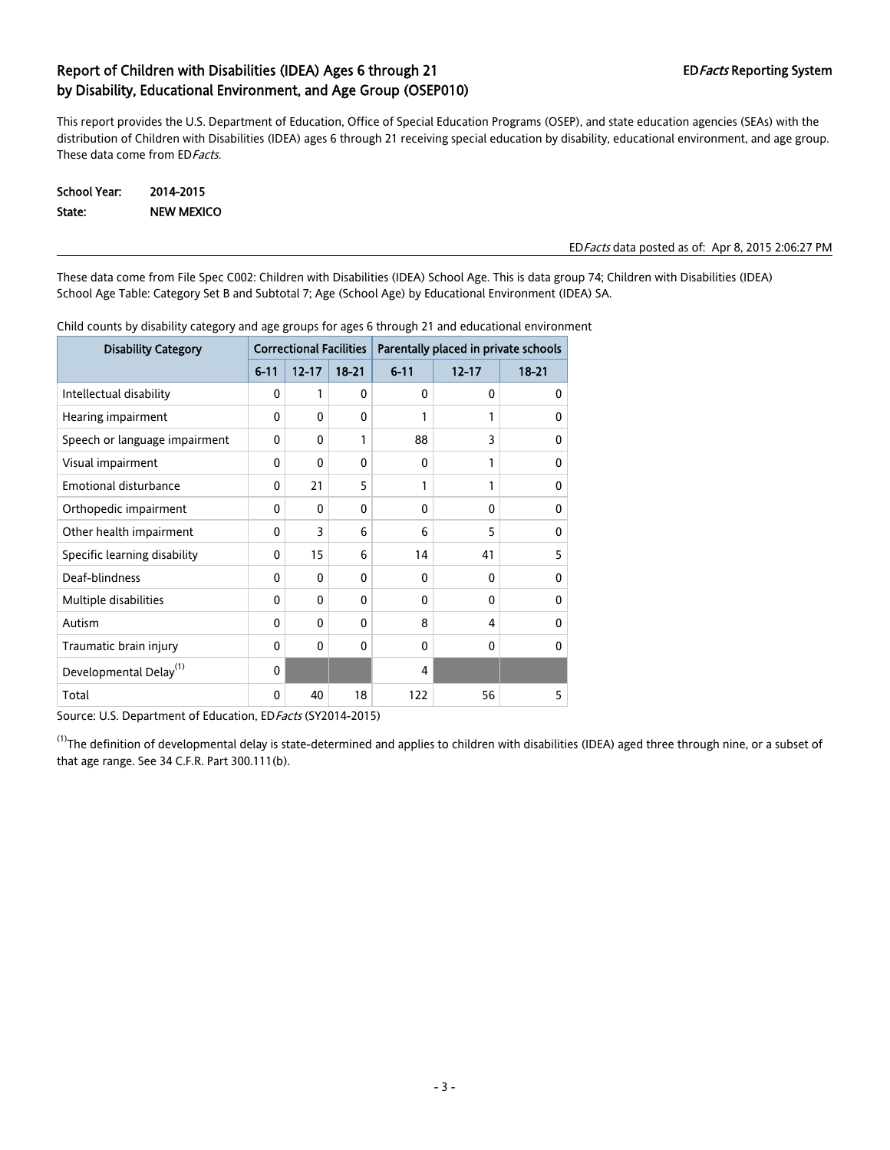This report provides the U.S. Department of Education, Office of Special Education Programs (OSEP), and state education agencies (SEAs) with the distribution of Children with Disabilities (IDEA) ages 6 through 21 receiving special education by disability, educational environment, and age group. These data come from ED Facts.

| School Year: | 2014-2015         |
|--------------|-------------------|
| State:       | <b>NEW MEXICO</b> |

#### EDFacts data posted as of: Apr 8, 2015 2:06:27 PM

These data come from File Spec C002: Children with Disabilities (IDEA) School Age. This is data group 74; Children with Disabilities (IDEA) School Age Table: Category Set B and Subtotal 7; Age (School Age) by Educational Environment (IDEA) SA.

| <b>Disability Category</b>         |          | <b>Correctional Facilities</b> |              | Parentally placed in private schools |           |           |  |  |
|------------------------------------|----------|--------------------------------|--------------|--------------------------------------|-----------|-----------|--|--|
|                                    | $6 - 11$ | $12 - 17$                      | $18 - 21$    | $6 - 11$                             | $12 - 17$ | $18 - 21$ |  |  |
| Intellectual disability            | 0        | 1                              | $\mathbf{0}$ | 0                                    | 0         | 0         |  |  |
| Hearing impairment                 | 0        | $\mathbf{0}$                   | $\mathbf{0}$ | 1                                    | 1         | 0         |  |  |
| Speech or language impairment      | 0        | 0                              | 1            | 88                                   | 3         | $\Omega$  |  |  |
| Visual impairment                  | 0        | $\mathbf{0}$                   | $\mathbf{0}$ | 0                                    | 1         | 0         |  |  |
| Emotional disturbance              | 0        | 21                             | 5            | 1                                    | 1         | 0         |  |  |
| Orthopedic impairment              | 0        | 0                              | $\Omega$     | $\Omega$                             | $\Omega$  | 0         |  |  |
| Other health impairment            | 0        | 3                              | 6            | 6                                    | 5         | 0         |  |  |
| Specific learning disability       | 0        | 15                             | 6            | 14                                   | 41        | 5         |  |  |
| Deaf-blindness                     | 0        | 0                              | $\mathbf{0}$ | 0                                    | 0         | 0         |  |  |
| Multiple disabilities              | 0        | $\mathbf{0}$                   | $\Omega$     | $\Omega$                             | $\Omega$  | $\Omega$  |  |  |
| Autism                             | 0        | 0                              | $\Omega$     | 8                                    | 4         | 0         |  |  |
| Traumatic brain injury             | 0        | 0                              | $\Omega$     | $\Omega$                             | $\Omega$  | 0         |  |  |
| Developmental Delay <sup>(1)</sup> | 0        |                                |              | 4                                    |           |           |  |  |
| Total                              | 0        | 40                             | 18           | 122                                  | 56        | 5         |  |  |

Child counts by disability category and age groups for ages 6 through 21 and educational environment

Source: U.S. Department of Education, ED Facts (SY2014-2015)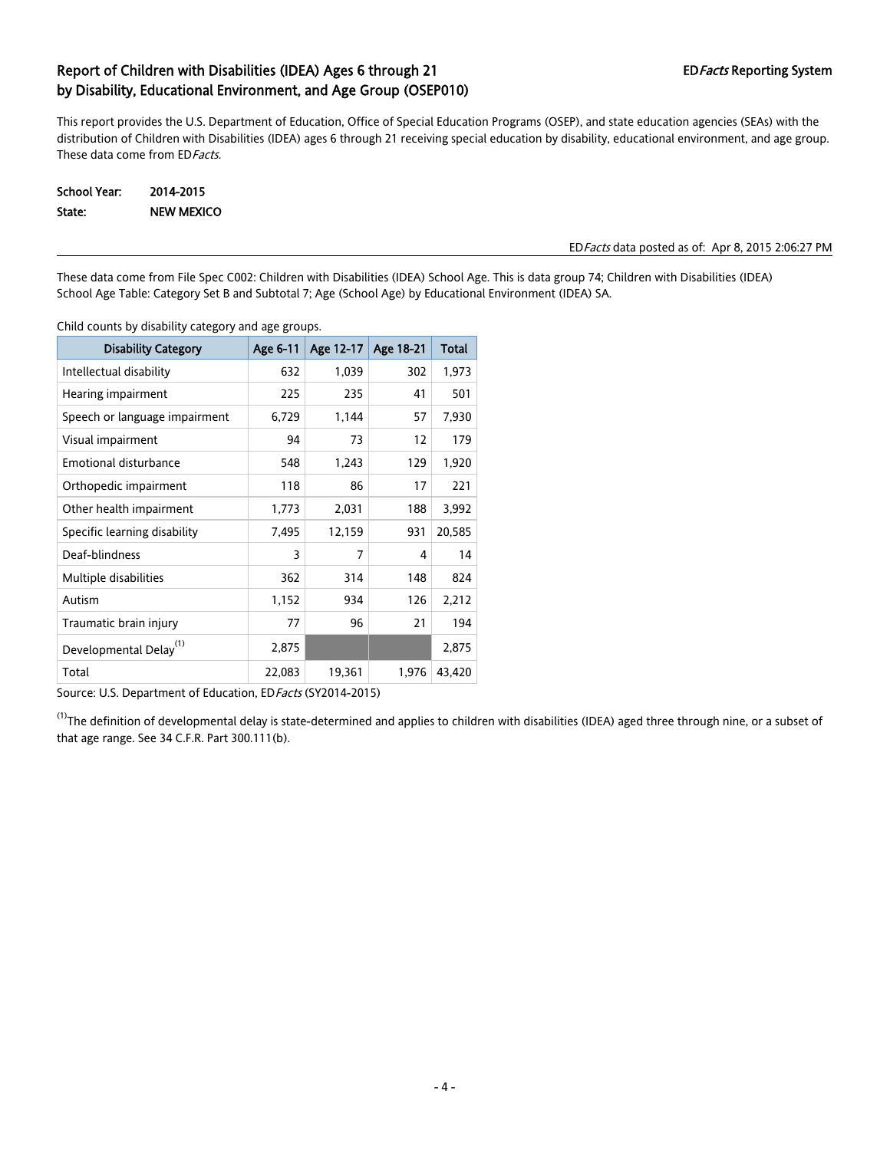This report provides the U.S. Department of Education, Office of Special Education Programs (OSEP), and state education agencies (SEAs) with the distribution of Children with Disabilities (IDEA) ages 6 through 21 receiving special education by disability, educational environment, and age group. These data come from ED Facts.

School Year: 2014-2015 State: NEW MEXICO

#### EDFacts data posted as of: Apr 8, 2015 2:06:27 PM

These data come from File Spec C002: Children with Disabilities (IDEA) School Age. This is data group 74; Children with Disabilities (IDEA) School Age Table: Category Set B and Subtotal 7; Age (School Age) by Educational Environment (IDEA) SA.

Child counts by disability category and age groups.

| <b>Disability Category</b>         | Age 6-11 | Age 12-17 | Age 18-21 | Total  |
|------------------------------------|----------|-----------|-----------|--------|
| Intellectual disability            | 632      | 1,039     | 302       | 1,973  |
| Hearing impairment                 | 225      | 235       | 41        | 501    |
| Speech or language impairment      | 6,729    | 1,144     | 57        | 7,930  |
| Visual impairment                  | 94       | 73        | 12        | 179    |
| <b>Emotional disturbance</b>       | 548      | 1,243     | 129       | 1,920  |
| Orthopedic impairment              | 118      | 86        | 17        | 221    |
| Other health impairment            | 1,773    | 2,031     | 188       | 3,992  |
| Specific learning disability       | 7,495    | 12,159    | 931       | 20,585 |
| Deaf-blindness                     | 3        | 7         | 4         | 14     |
| Multiple disabilities              | 362      | 314       | 148       | 824    |
| Autism                             | 1,152    | 934       | 126       | 2,212  |
| Traumatic brain injury             | 77       | 96        | 21        | 194    |
| Developmental Delay <sup>(1)</sup> | 2,875    |           |           | 2,875  |
| Total                              | 22,083   | 19,361    | 1,976     | 43,420 |

Source: U.S. Department of Education, ED Facts (SY2014-2015)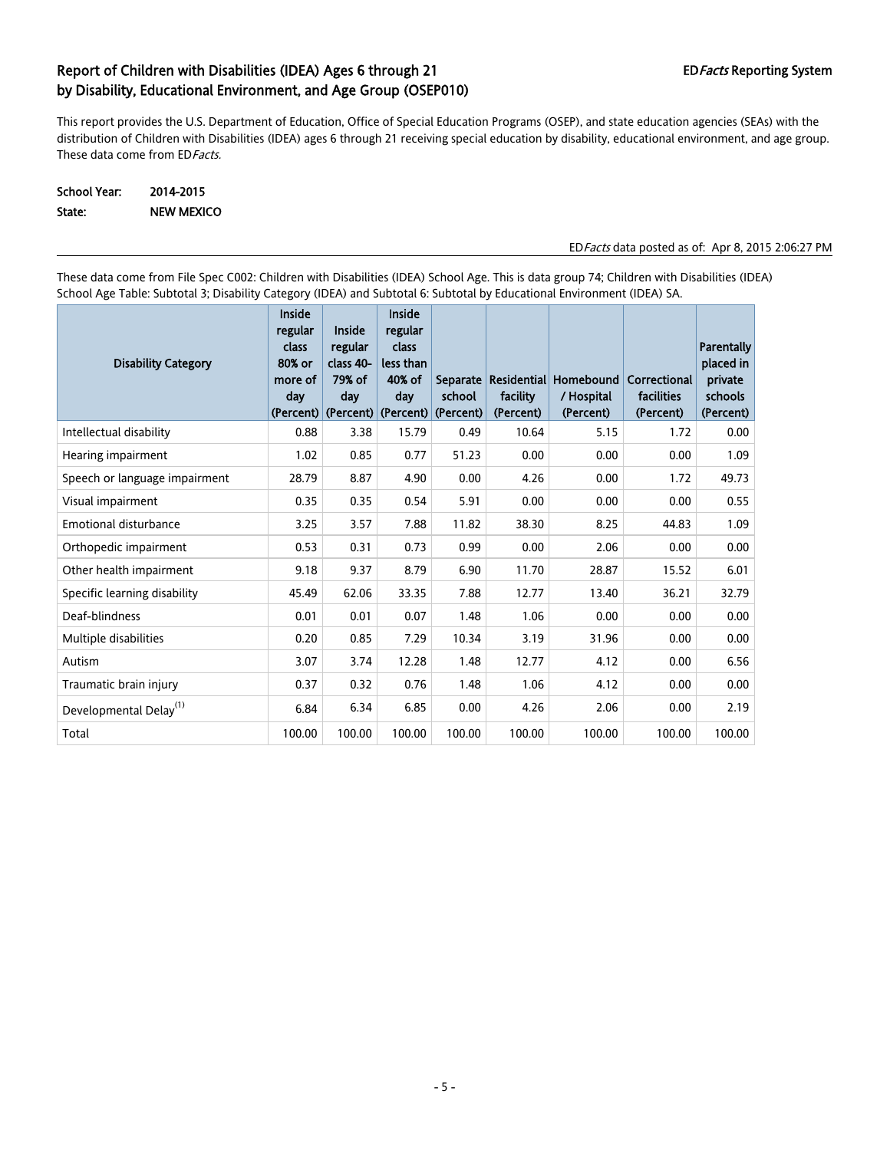This report provides the U.S. Department of Education, Office of Special Education Programs (OSEP), and state education agencies (SEAs) with the distribution of Children with Disabilities (IDEA) ages 6 through 21 receiving special education by disability, educational environment, and age group. These data come from ED Facts.

## School Year: 2014-2015 State: NEW MEXICO

### EDFacts data posted as of: Apr 8, 2015 2:06:27 PM

These data come from File Spec C002: Children with Disabilities (IDEA) School Age. This is data group 74; Children with Disabilities (IDEA) School Age Table: Subtotal 3; Disability Category (IDEA) and Subtotal 6: Subtotal by Educational Environment (IDEA) SA.

| <b>Disability Category</b>         | <b>Inside</b><br>regular<br>class<br>80% or<br>more of<br>day<br>(Percent) | Inside<br>regular<br>class 40-<br>79% of<br>day<br>$ $ (Percent) | Inside<br>regular<br>class<br>less than<br>40% of<br>day | Separate<br>school<br>(Percent) (Percent) | facility<br>(Percent) | Residential Homebound<br>/ Hospital<br>(Percent) | Correctional<br>facilities<br>(Percent) | <b>Parentally</b><br>placed in<br>private<br>schools<br>(Percent) |
|------------------------------------|----------------------------------------------------------------------------|------------------------------------------------------------------|----------------------------------------------------------|-------------------------------------------|-----------------------|--------------------------------------------------|-----------------------------------------|-------------------------------------------------------------------|
| Intellectual disability            | 0.88                                                                       | 3.38                                                             | 15.79                                                    | 0.49                                      | 10.64                 | 5.15                                             | 1.72                                    | 0.00                                                              |
| Hearing impairment                 | 1.02                                                                       | 0.85                                                             | 0.77                                                     | 51.23                                     | 0.00                  | 0.00                                             | 0.00                                    | 1.09                                                              |
| Speech or language impairment      | 28.79                                                                      | 8.87                                                             | 4.90                                                     | 0.00                                      | 4.26                  | 0.00                                             | 1.72                                    | 49.73                                                             |
| Visual impairment                  | 0.35                                                                       | 0.35                                                             | 0.54                                                     | 5.91                                      | 0.00                  | 0.00                                             | 0.00                                    | 0.55                                                              |
| Emotional disturbance              | 3.25                                                                       | 3.57                                                             | 7.88                                                     | 11.82                                     | 38.30                 | 8.25                                             | 44.83                                   | 1.09                                                              |
| Orthopedic impairment              | 0.53                                                                       | 0.31                                                             | 0.73                                                     | 0.99                                      | 0.00                  | 2.06                                             | 0.00                                    | 0.00                                                              |
| Other health impairment            | 9.18                                                                       | 9.37                                                             | 8.79                                                     | 6.90                                      | 11.70                 | 28.87                                            | 15.52                                   | 6.01                                                              |
| Specific learning disability       | 45.49                                                                      | 62.06                                                            | 33.35                                                    | 7.88                                      | 12.77                 | 13.40                                            | 36.21                                   | 32.79                                                             |
| Deaf-blindness                     | 0.01                                                                       | 0.01                                                             | 0.07                                                     | 1.48                                      | 1.06                  | 0.00                                             | 0.00                                    | 0.00                                                              |
| Multiple disabilities              | 0.20                                                                       | 0.85                                                             | 7.29                                                     | 10.34                                     | 3.19                  | 31.96                                            | 0.00                                    | 0.00                                                              |
| Autism                             | 3.07                                                                       | 3.74                                                             | 12.28                                                    | 1.48                                      | 12.77                 | 4.12                                             | 0.00                                    | 6.56                                                              |
| Traumatic brain injury             | 0.37                                                                       | 0.32                                                             | 0.76                                                     | 1.48                                      | 1.06                  | 4.12                                             | 0.00                                    | 0.00                                                              |
| Developmental Delay <sup>(1)</sup> | 6.84                                                                       | 6.34                                                             | 6.85                                                     | 0.00                                      | 4.26                  | 2.06                                             | 0.00                                    | 2.19                                                              |
| Total                              | 100.00                                                                     | 100.00                                                           | 100.00                                                   | 100.00                                    | 100.00                | 100.00                                           | 100.00                                  | 100.00                                                            |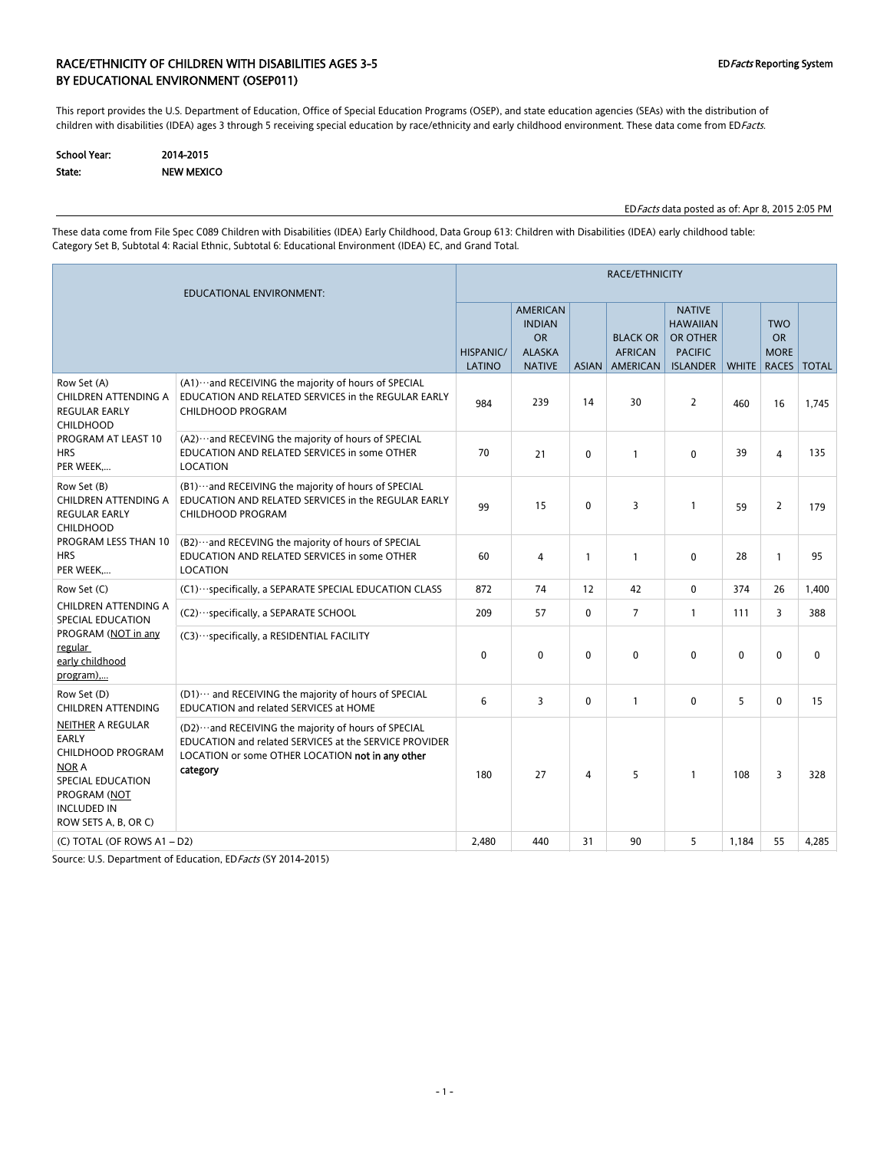### RACE/ETHNICITY OF CHILDREN WITH DISABILITIES AGES 3-5 CHILDREY ASSESS AND REPORT OF CHILDREY System BY EDUCATIONAL ENVIRONMENT (OSEP011)

This report provides the U.S. Department of Education, Office of Special Education Programs (OSEP), and state education agencies (SEAs) with the distribution of children with disabilities (IDEA) ages 3 through 5 receiving special education by race/ethnicity and early childhood environment. These data come from EDFacts.

| School Year: | 2014-2015  |
|--------------|------------|
| State:       | NEW MEXICO |

EDFacts data posted as of: Apr 8, 2015 2:05 PM

These data come from File Spec C089 Children with Disabilities (IDEA) Early Childhood, Data Group 613: Children with Disabilities (IDEA) early childhood table: Category Set B, Subtotal 4: Racial Ethnic, Subtotal 6: Educational Environment (IDEA) EC, and Grand Total.

| EDUCATIONAL ENVIRONMENT:                                                                                                                                  |                                                                                                                                                                                |                            | RACE/ETHNICITY                                                                  |              |                                               |                                                                                   |              |                                                 |              |  |  |
|-----------------------------------------------------------------------------------------------------------------------------------------------------------|--------------------------------------------------------------------------------------------------------------------------------------------------------------------------------|----------------------------|---------------------------------------------------------------------------------|--------------|-----------------------------------------------|-----------------------------------------------------------------------------------|--------------|-------------------------------------------------|--------------|--|--|
|                                                                                                                                                           |                                                                                                                                                                                | <b>HISPANIC/</b><br>LATINO | <b>AMERICAN</b><br><b>INDIAN</b><br><b>OR</b><br><b>ALASKA</b><br><b>NATIVE</b> | <b>ASIAN</b> | <b>BLACK OR</b><br><b>AFRICAN</b><br>AMERICAN | <b>NATIVE</b><br><b>HAWAIIAN</b><br>OR OTHER<br><b>PACIFIC</b><br><b>ISLANDER</b> | <b>WHITE</b> | <b>TWO</b><br><b>OR</b><br><b>MORE</b><br>RACES | <b>TOTAL</b> |  |  |
| Row Set (A)<br>CHILDREN ATTENDING A<br><b>REGULAR EARLY</b><br><b>CHILDHOOD</b>                                                                           | (A1) ··· and RECEIVING the majority of hours of SPECIAL<br>EDUCATION AND RELATED SERVICES in the REGULAR EARLY<br><b>CHILDHOOD PROGRAM</b>                                     | 984                        | 239                                                                             | 14           | 30                                            | $\overline{2}$                                                                    | 460          | 16                                              | 1.745        |  |  |
| PROGRAM AT LEAST 10<br><b>HRS</b><br>PER WEEK                                                                                                             | (A2) ··· and RECEVING the majority of hours of SPECIAL<br>EDUCATION AND RELATED SERVICES in some OTHER<br><b>LOCATION</b>                                                      | 70                         | 21                                                                              | $\mathbf{0}$ | $\mathbf{1}$                                  | $\mathbf{0}$                                                                      | 39           | 4                                               | 135          |  |  |
| Row Set (B)<br>CHILDREN ATTENDING A<br><b>REGULAR EARLY</b><br><b>CHILDHOOD</b>                                                                           | (B1) ··· and RECEIVING the majority of hours of SPECIAL<br>EDUCATION AND RELATED SERVICES in the REGULAR EARLY<br><b>CHILDHOOD PROGRAM</b>                                     | 99                         | 15                                                                              | 0            | 3                                             | $\mathbf{1}$                                                                      | 59           | $\overline{2}$                                  | 179          |  |  |
| PROGRAM LESS THAN 10<br><b>HRS</b><br>PER WEEK                                                                                                            | (B2) ··· and RECEVING the majority of hours of SPECIAL<br>EDUCATION AND RELATED SERVICES in some OTHER<br>LOCATION                                                             | 60                         | 4                                                                               | $\mathbf{1}$ | $\mathbf{1}$                                  | $\mathbf{0}$                                                                      | 28           | $\mathbf{1}$                                    | 95           |  |  |
| Row Set (C)                                                                                                                                               | (C1) ··· specifically, a SEPARATE SPECIAL EDUCATION CLASS                                                                                                                      | 872                        | 74                                                                              | 12           | 42                                            | $\mathbf 0$                                                                       | 374          | 26                                              | 1,400        |  |  |
| CHILDREN ATTENDING A<br>SPECIAL EDUCATION                                                                                                                 | (C2) ··· specifically, a SEPARATE SCHOOL                                                                                                                                       | 209                        | 57                                                                              | $\mathbf 0$  | 7                                             | $\mathbf{1}$                                                                      | 111          | 3                                               | 388          |  |  |
| PROGRAM (NOT in any<br>regular<br>early childhood<br>program),                                                                                            | (C3) ··· specifically, a RESIDENTIAL FACILITY                                                                                                                                  | $\mathbf{0}$               | $\mathbf 0$                                                                     | $\mathbf{0}$ | $\mathbf{0}$                                  | 0                                                                                 | $\mathbf{0}$ | $\mathbf{0}$                                    | $\mathbf{0}$ |  |  |
| Row Set (D)<br><b>CHILDREN ATTENDING</b>                                                                                                                  | (D1) ··· and RECEIVING the majority of hours of SPECIAL<br>EDUCATION and related SERVICES at HOME                                                                              | 6                          | 3                                                                               | $\mathbf{0}$ | $\mathbf{1}$                                  | $\mathbf{0}$                                                                      | 5            | $\mathbf{0}$                                    | 15           |  |  |
| NEITHER A REGULAR<br>EARLY<br><b>CHILDHOOD PROGRAM</b><br><b>NOR A</b><br>SPECIAL EDUCATION<br>PROGRAM (NOT<br><b>INCLUDED IN</b><br>ROW SETS A, B, OR C) | (D2)  and RECEIVING the majority of hours of SPECIAL<br>EDUCATION and related SERVICES at the SERVICE PROVIDER<br>LOCATION or some OTHER LOCATION not in any other<br>category | 180                        | 27                                                                              | 4            | 5                                             | $\mathbf{1}$                                                                      | 108          | 3                                               | 328          |  |  |
| (C) TOTAL (OF ROWS A1-D2)                                                                                                                                 |                                                                                                                                                                                | 2.480                      | 440                                                                             | 31           | 90                                            | 5                                                                                 | 1.184        | 55                                              | 4,285        |  |  |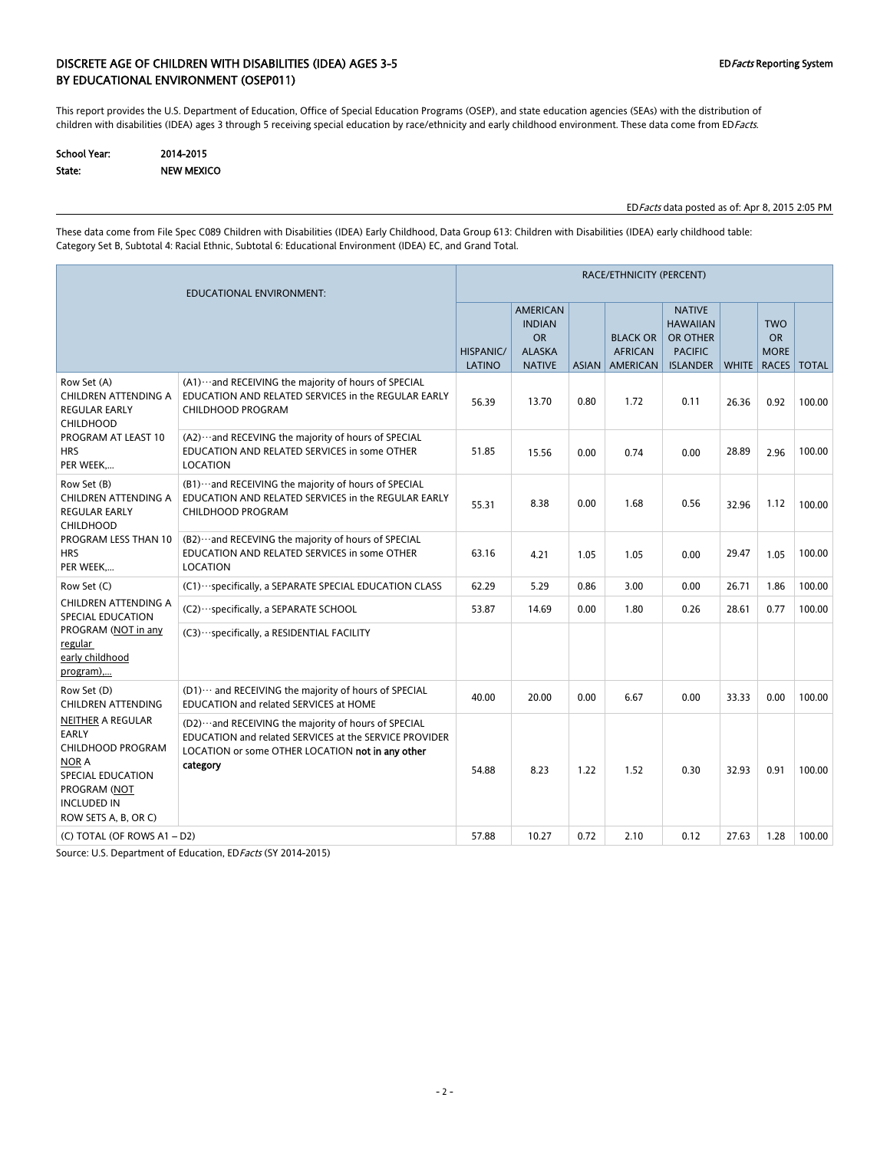### DISCRETE AGE OF CHILDREN WITH DISABILITIES (IDEA) AGES 3-5 EDFacts Reporting System BY EDUCATIONAL ENVIRONMENT (OSEP011)

This report provides the U.S. Department of Education, Office of Special Education Programs (OSEP), and state education agencies (SEAs) with the distribution of children with disabilities (IDEA) ages 3 through 5 receiving special education by race/ethnicity and early childhood environment. These data come from EDFacts.

| School Year: | 2014-2015  |
|--------------|------------|
| State:       | NEW MEXICO |

EDFacts data posted as of: Apr 8, 2015 2:05 PM

These data come from File Spec C089 Children with Disabilities (IDEA) Early Childhood, Data Group 613: Children with Disabilities (IDEA) early childhood table: Category Set B, Subtotal 4: Racial Ethnic, Subtotal 6: Educational Environment (IDEA) EC, and Grand Total.

| EDUCATIONAL ENVIRONMENT:                                                                                                                           |                                                                                                                                                                                   |                            | RACE/ETHNICITY (PERCENT)                                                        |      |                                                     |                                                                                          |       |                                                       |              |  |  |
|----------------------------------------------------------------------------------------------------------------------------------------------------|-----------------------------------------------------------------------------------------------------------------------------------------------------------------------------------|----------------------------|---------------------------------------------------------------------------------|------|-----------------------------------------------------|------------------------------------------------------------------------------------------|-------|-------------------------------------------------------|--------------|--|--|
|                                                                                                                                                    |                                                                                                                                                                                   | <b>HISPANIC/</b><br>LATINO | <b>AMERICAN</b><br><b>INDIAN</b><br><b>OR</b><br><b>ALASKA</b><br><b>NATIVE</b> |      | <b>BLACK OR</b><br><b>AFRICAN</b><br>ASIAN AMERICAN | <b>NATIVE</b><br><b>HAWAIIAN</b><br><b>OR OTHER</b><br><b>PACIFIC</b><br><b>ISLANDER</b> |       | <b>TWO</b><br><b>OR</b><br><b>MORE</b><br>WHITE RACES | <b>TOTAL</b> |  |  |
| Row Set (A)<br>CHILDREN ATTENDING A<br><b>REGULAR EARLY</b><br><b>CHILDHOOD</b>                                                                    | (A1) ··· and RECEIVING the majority of hours of SPECIAL<br>EDUCATION AND RELATED SERVICES in the REGULAR EARLY<br><b>CHILDHOOD PROGRAM</b>                                        | 56.39                      | 13.70                                                                           | 0.80 | 1.72                                                | 0.11                                                                                     | 26.36 | 0.92                                                  | 100.00       |  |  |
| PROGRAM AT LEAST 10<br><b>HRS</b><br>PER WEEK<br>program),                                                                                         | (A2) ··· and RECEVING the majority of hours of SPECIAL<br>EDUCATION AND RELATED SERVICES in some OTHER<br>LOCATION                                                                | 51.85                      | 15.56                                                                           | 0.00 | 0.74                                                | 0.00                                                                                     | 28.89 | 2.96                                                  | 100.00       |  |  |
| Row Set (B)<br>CHILDREN ATTENDING A<br><b>REGULAR EARLY</b><br><b>CHILDHOOD</b><br>PROGRAM LESS THAN 10<br><b>HRS</b><br>PER WEEK                  | (B1) ··· and RECEIVING the majority of hours of SPECIAL<br>EDUCATION AND RELATED SERVICES in the REGULAR EARLY<br>CHILDHOOD PROGRAM                                               | 55.31                      | 8.38                                                                            | 0.00 | 1.68                                                | 0.56                                                                                     | 32.96 | 1.12                                                  | 100.00       |  |  |
|                                                                                                                                                    | (B2) ··· and RECEVING the majority of hours of SPECIAL<br>EDUCATION AND RELATED SERVICES in some OTHER<br>LOCATION                                                                | 63.16                      | 4.21                                                                            | 1.05 | 1.05                                                | 0.00                                                                                     | 29.47 | 1.05                                                  | 100.00       |  |  |
| Row Set (C)                                                                                                                                        | (C1) ··· specifically, a SEPARATE SPECIAL EDUCATION CLASS                                                                                                                         | 62.29                      | 5.29                                                                            | 0.86 | 3.00                                                | 0.00                                                                                     | 26.71 | 1.86                                                  | 100.00       |  |  |
| <b>CHILDREN ATTENDING A</b><br>SPECIAL EDUCATION                                                                                                   | (C2) · · · specifically, a SEPARATE SCHOOL                                                                                                                                        | 53.87                      | 14.69                                                                           | 0.00 | 1.80                                                | 0.26                                                                                     | 28.61 | 0.77                                                  | 100.00       |  |  |
| PROGRAM (NOT in any<br>regular<br>early childhood                                                                                                  | (C3) ··· specifically, a RESIDENTIAL FACILITY                                                                                                                                     |                            |                                                                                 |      |                                                     |                                                                                          |       |                                                       |              |  |  |
| Row Set (D)<br>CHILDREN ATTENDING                                                                                                                  | (D1) ··· and RECEIVING the majority of hours of SPECIAL<br>EDUCATION and related SERVICES at HOME                                                                                 | 40.00                      | 20.00                                                                           | 0.00 | 6.67                                                | 0.00                                                                                     | 33.33 | 0.00                                                  | 100.00       |  |  |
| NEITHER A REGULAR<br><b>EARLY</b><br>CHILDHOOD PROGRAM<br>NOR A<br>SPECIAL EDUCATION<br>PROGRAM (NOT<br><b>INCLUDED IN</b><br>ROW SETS A, B, OR C) | (D2) ··· and RECEIVING the majority of hours of SPECIAL<br>EDUCATION and related SERVICES at the SERVICE PROVIDER<br>LOCATION or some OTHER LOCATION not in any other<br>category | 54.88                      | 8.23                                                                            | 1.22 | 1.52                                                | 0.30                                                                                     | 32.93 | 0.91                                                  | 100.00       |  |  |
| (C) TOTAL (OF ROWS A1 - D2)                                                                                                                        |                                                                                                                                                                                   | 57.88                      | 10.27                                                                           | 0.72 | 2.10                                                | 0.12                                                                                     | 27.63 | 1.28                                                  | 100.00       |  |  |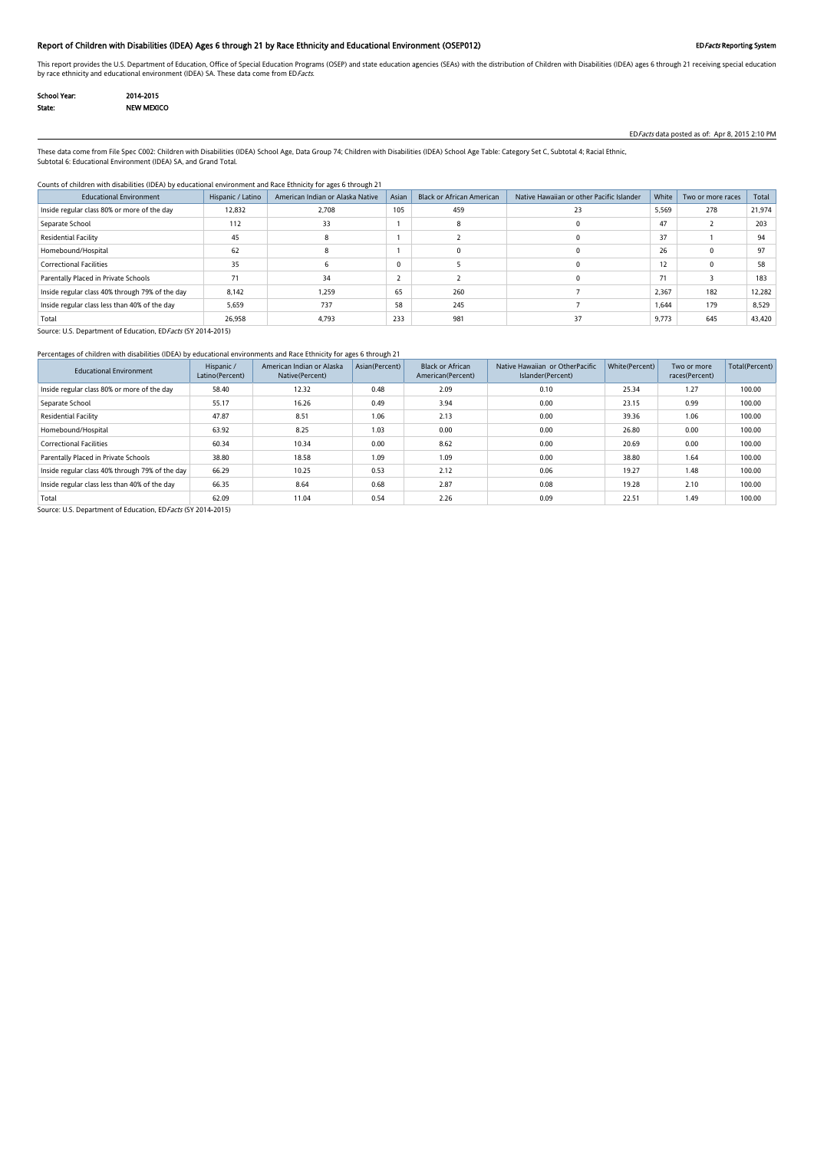### Report of Children with Disabilities (IDEA) Ages 6 through 21 by Race Ethnicity and Educational Environment (OSEP012) EDFacts Reporting System

This report provides the U.S. Department of Education, Office of Special Education Programs (OSEP) and state education agencies (SEAs) with the distribution of Children with Disabilities (IDEA) ages 6 through 21 receiving by race ethnicity and educational environment (IDEA) SA. These data come from EDFacts.

| <b>School Year:</b> | 2014-2015         |
|---------------------|-------------------|
| State:              | <b>NEW MEXICO</b> |

EDFacts data posted as of: Apr 8, 2015 2:10 PM

These data come from File Spec C002: Children with Disabilities (IDEA) School Age, Data Group 74; Children with Disabilities (IDEA) School Age Table: Category Set C, Subtotal 4; Racial Ethnic, Subtotal 6: Educational Environment (IDEA) SA, and Grand Total.

#### Counts of children with disabilities (IDEA) by educational environment and Race Ethnicity for ages 6 through 21

| <b>Educational Environment</b>                  | Hispanic / Latino | American Indian or Alaska Native | Asian | <b>Black or African American</b> | Native Hawaiian or other Pacific Islander | White | Two or more races | Total  |
|-------------------------------------------------|-------------------|----------------------------------|-------|----------------------------------|-------------------------------------------|-------|-------------------|--------|
| Inside regular class 80% or more of the day     | 12,832            | 2,708                            | 105   | 459                              | 23                                        | 5,569 | 278               | 21,974 |
| Separate School                                 | 112               | 33                               |       |                                  |                                           | 47    |                   | 203    |
| Residential Facility                            | 45                |                                  |       |                                  |                                           | 37    |                   | 94     |
| Homebound/Hospital                              | 62                |                                  |       |                                  |                                           | 26    |                   | 97     |
| <b>Correctional Facilities</b>                  | 35                |                                  | 0     |                                  |                                           | 12    |                   | 58     |
| Parentally Placed in Private Schools            |                   | 34                               |       |                                  |                                           | 71    |                   | 183    |
| Inside regular class 40% through 79% of the day | 8,142             | 1.259                            | 65    | 260                              |                                           | 2,367 | 182               | 12,282 |
| Inside regular class less than 40% of the day   | 5,659             | 737                              | 58    | 245                              |                                           | 1.644 | 179               | 8,529  |
| Total                                           | 26,958            | 4,793                            | 233   | 981                              | 37                                        | 9,773 | 645               | 43,420 |

Source: U.S. Department of Education, ED Facts (SY 2014-2015)

### Percentages of children with disabilities (IDEA) by educational environments and Race Ethnicity for ages 6 through 21

| <b>Educational Environment</b>                  | Hispanic /<br>Latino(Percent) | American Indian or Alaska<br>Native(Percent) | Asian(Percent) | <b>Black or African</b><br>American(Percent) | Native Hawaiian or OtherPacific<br>Islander(Percent) | White(Percent) | Two or more<br>races(Percent) | Total(Percent) |
|-------------------------------------------------|-------------------------------|----------------------------------------------|----------------|----------------------------------------------|------------------------------------------------------|----------------|-------------------------------|----------------|
| Inside regular class 80% or more of the day     | 58.40                         | 12.32                                        | 0.48           | 2.09                                         | 0.10                                                 | 25.34          | 1.27                          | 100.00         |
| Separate School                                 | 55.17                         | 16.26                                        | 0.49           | 3.94                                         | 0.00                                                 | 23.15          | 0.99                          | 100.00         |
| Residential Facility                            | 47.87                         | 8.51                                         | 1.06           | 2.13                                         | 0.00                                                 | 39.36          | 1.06                          | 100.00         |
| Homebound/Hospital                              | 63.92                         | 8.25                                         | 1.03           | 0.00                                         | 0.00                                                 | 26.80          | 0.00                          | 100.00         |
| <b>Correctional Facilities</b>                  | 60.34                         | 10.34                                        | 0.00           | 8.62                                         | 0.00                                                 | 20.69          | 0.00                          | 100.00         |
| Parentally Placed in Private Schools            | 38.80                         | 18.58                                        | 1.09           | 1.09                                         | 0.00                                                 | 38.80          | 1.64                          | 100.00         |
| Inside regular class 40% through 79% of the day | 66.29                         | 10.25                                        | 0.53           | 2.12                                         | 0.06                                                 | 19.27          | 1.48                          | 100.00         |
| Inside regular class less than 40% of the day   | 66.35                         | 8.64                                         | 0.68           | 2.87                                         | 0.08                                                 | 19.28          | 2.10                          | 100.00         |
| Total                                           | 62.09                         | 11.04                                        | 0.54           | 2.26                                         | 0.09                                                 | 22.51          | 1.49                          | 100.00         |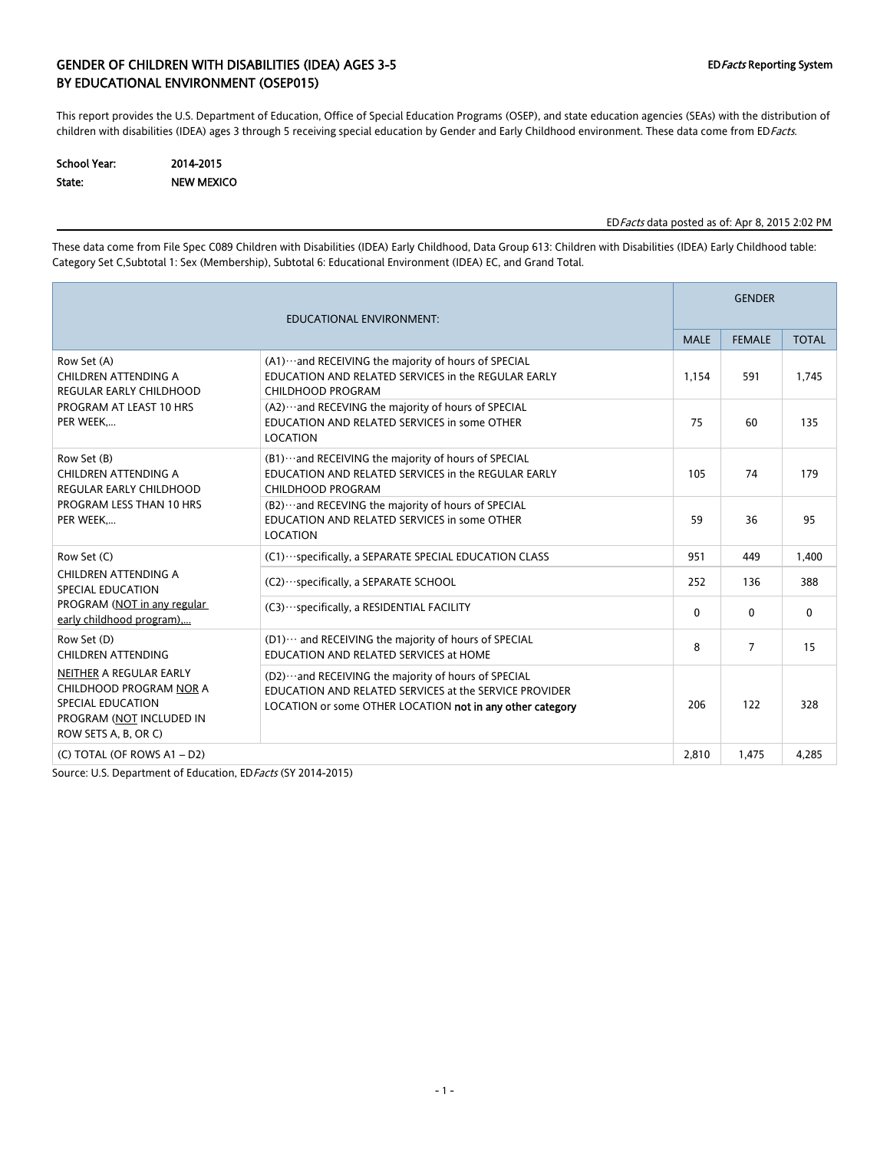## GENDER OF CHILDREN WITH DISABILITIES (IDEA) AGES 3-5 EDFacts Reporting System BY EDUCATIONAL ENVIRONMENT (OSEP015)

This report provides the U.S. Department of Education, Office of Special Education Programs (OSEP), and state education agencies (SEAs) with the distribution of children with disabilities (IDEA) ages 3 through 5 receiving special education by Gender and Early Childhood environment. These data come from EDFacts.

| <b>School Year:</b> | 2014-2015         |
|---------------------|-------------------|
| State:              | <b>NEW MEXICO</b> |

EDFacts data posted as of: Apr 8, 2015 2:02 PM

These data come from File Spec C089 Children with Disabilities (IDEA) Early Childhood, Data Group 613: Children with Disabilities (IDEA) Early Childhood table: Category Set C,Subtotal 1: Sex (Membership), Subtotal 6: Educational Environment (IDEA) EC, and Grand Total.

|                                                                                                                                    |                                                                                                                                                                             | <b>GENDER</b> |                |              |  |
|------------------------------------------------------------------------------------------------------------------------------------|-----------------------------------------------------------------------------------------------------------------------------------------------------------------------------|---------------|----------------|--------------|--|
|                                                                                                                                    |                                                                                                                                                                             | <b>MALE</b>   | <b>FEMALE</b>  | <b>TOTAL</b> |  |
| Row Set (A)<br>CHILDREN ATTENDING A<br><b>REGULAR EARLY CHILDHOOD</b>                                                              | (A1) ··· and RECEIVING the majority of hours of SPECIAL<br>EDUCATION AND RELATED SERVICES in the REGULAR EARLY<br>CHILDHOOD PROGRAM                                         | 1.154         | 591            | 1.745        |  |
| PROGRAM AT LEAST 10 HRS<br>PER WEEK                                                                                                | (A2)  and RECEVING the majority of hours of SPECIAL<br>EDUCATION AND RELATED SERVICES in some OTHER<br><b>LOCATION</b>                                                      | 75            | 60             | 135          |  |
| Row Set (B)<br>CHILDREN ATTENDING A<br><b>REGULAR EARLY CHILDHOOD</b>                                                              | (B1)  and RECEIVING the majority of hours of SPECIAL<br>EDUCATION AND RELATED SERVICES in the REGULAR EARLY<br><b>CHILDHOOD PROGRAM</b>                                     | 105           | 74             | 179          |  |
| PROGRAM LESS THAN 10 HRS<br>PER WEEK                                                                                               | (B2) ··· and RECEVING the majority of hours of SPECIAL<br>EDUCATION AND RELATED SERVICES in some OTHER<br><b>LOCATION</b>                                                   | 59            | 36             | 95           |  |
| Row Set (C)                                                                                                                        | (C1) ··· specifically, a SEPARATE SPECIAL EDUCATION CLASS                                                                                                                   | 951           | 449            | 1,400        |  |
| CHILDREN ATTENDING A<br>SPECIAL EDUCATION                                                                                          | (C2) · ·· specifically, a SEPARATE SCHOOL                                                                                                                                   | 252           | 136            | 388          |  |
| PROGRAM (NOT in any regular<br>early childhood program),                                                                           | (C3) ··· specifically, a RESIDENTIAL FACILITY                                                                                                                               | 0             | $\mathbf{0}$   | $\mathbf{0}$ |  |
| Row Set (D)<br><b>CHILDREN ATTENDING</b>                                                                                           | (D1)  and RECEIVING the majority of hours of SPECIAL<br>EDUCATION AND RELATED SERVICES at HOME                                                                              | 8             | $\overline{7}$ | 15           |  |
| NEITHER A REGULAR EARLY<br>CHILDHOOD PROGRAM NOR A<br><b>SPECIAL EDUCATION</b><br>PROGRAM (NOT INCLUDED IN<br>ROW SETS A, B, OR C) | (D2)  and RECEIVING the majority of hours of SPECIAL<br>EDUCATION AND RELATED SERVICES at the SERVICE PROVIDER<br>LOCATION or some OTHER LOCATION not in any other category | 206           | 122            | 328          |  |
| $(C)$ TOTAL (OF ROWS A1 - D2)                                                                                                      |                                                                                                                                                                             | 2,810         | 1,475          | 4,285        |  |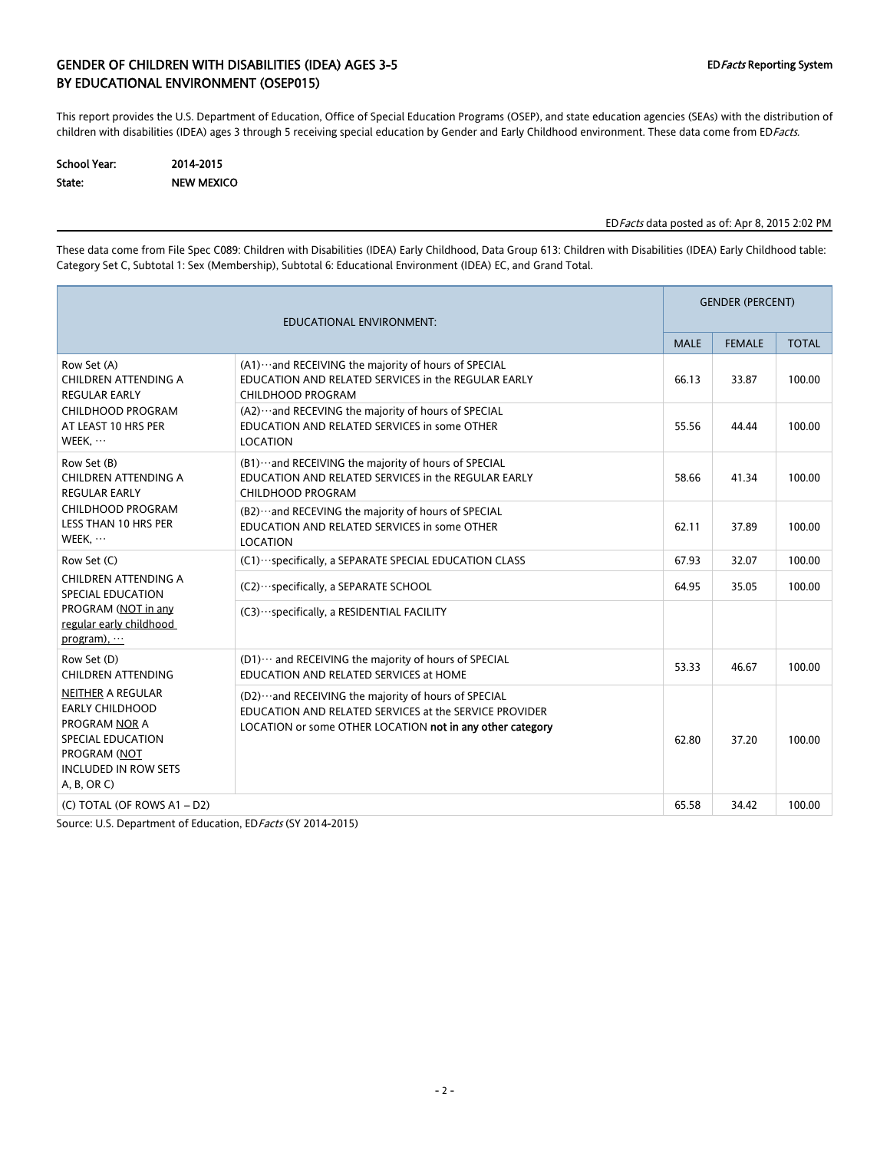## GENDER OF CHILDREN WITH DISABILITIES (IDEA) AGES 3-5 EDFacts Reporting System BY EDUCATIONAL ENVIRONMENT (OSEP015)

This report provides the U.S. Department of Education, Office of Special Education Programs (OSEP), and state education agencies (SEAs) with the distribution of children with disabilities (IDEA) ages 3 through 5 receiving special education by Gender and Early Childhood environment. These data come from EDFacts.

| School Year: | 2014-2015         |
|--------------|-------------------|
| State:       | <b>NEW MEXICO</b> |

### EDFacts data posted as of: Apr 8, 2015 2:02 PM

These data come from File Spec C089: Children with Disabilities (IDEA) Early Childhood, Data Group 613: Children with Disabilities (IDEA) Early Childhood table: Category Set C, Subtotal 1: Sex (Membership), Subtotal 6: Educational Environment (IDEA) EC, and Grand Total.

| <b>EDUCATIONAL ENVIRONMENT:</b>                                                                                                                                                                          |                                                                                                                                                                                | <b>GENDER (PERCENT)</b> |               |              |
|----------------------------------------------------------------------------------------------------------------------------------------------------------------------------------------------------------|--------------------------------------------------------------------------------------------------------------------------------------------------------------------------------|-------------------------|---------------|--------------|
|                                                                                                                                                                                                          |                                                                                                                                                                                | <b>MALE</b>             | <b>FEMALE</b> | <b>TOTAL</b> |
| Row Set (A)<br>CHILDREN ATTENDING A<br><b>REGULAR EARLY</b>                                                                                                                                              | (A1) ··· and RECEIVING the majority of hours of SPECIAL<br>EDUCATION AND RELATED SERVICES in the REGULAR EARLY<br>CHILDHOOD PROGRAM                                            | 66.13                   | 33.87         | 100.00       |
| CHILDHOOD PROGRAM<br>AT LEAST 10 HRS PER<br>WEEK,                                                                                                                                                        | (A2) ··· and RECEVING the majority of hours of SPECIAL<br>EDUCATION AND RELATED SERVICES in some OTHER<br>LOCATION                                                             | 55.56                   | 44.44         | 100.00       |
| Row Set (B)<br>CHILDREN ATTENDING A<br><b>REGULAR EARLY</b>                                                                                                                                              | (B1)  and RECEIVING the majority of hours of SPECIAL<br>EDUCATION AND RELATED SERVICES in the REGULAR EARLY<br>CHILDHOOD PROGRAM                                               | 58.66                   | 41.34         | 100.00       |
| CHILDHOOD PROGRAM<br><b>LESS THAN 10 HRS PER</b><br>WEEK,                                                                                                                                                | (B2)  and RECEVING the majority of hours of SPECIAL<br>EDUCATION AND RELATED SERVICES in some OTHER<br>LOCATION                                                                | 62.11                   | 37.89         | 100.00       |
| Row Set (C)                                                                                                                                                                                              | (C1) ··· specifically, a SEPARATE SPECIAL EDUCATION CLASS                                                                                                                      | 67.93                   | 32.07         | 100.00       |
| CHILDREN ATTENDING A<br>SPECIAL EDUCATION<br>PROGRAM (NOT in any<br>regular early childhood<br>program), $\cdots$                                                                                        | (C2) · ·· specifically, a SEPARATE SCHOOL                                                                                                                                      | 64.95                   | 35.05         | 100.00       |
|                                                                                                                                                                                                          | (C3) · · · specifically, a RESIDENTIAL FACILITY                                                                                                                                |                         |               |              |
| Row Set (D)<br><b>CHILDREN ATTENDING</b><br><b>NEITHER A REGULAR</b><br><b>EARLY CHILDHOOD</b><br><b>PROGRAM NOR A</b><br>SPECIAL EDUCATION<br>PROGRAM (NOT<br><b>INCLUDED IN ROW SETS</b><br>A, B, OR C | (D1) ··· and RECEIVING the majority of hours of SPECIAL<br>EDUCATION AND RELATED SERVICES at HOME                                                                              | 53.33                   | 46.67         | 100.00       |
|                                                                                                                                                                                                          | (D2) ··· and RECEIVING the majority of hours of SPECIAL<br>EDUCATION AND RELATED SERVICES at the SERVICE PROVIDER<br>LOCATION or some OTHER LOCATION not in any other category | 62.80                   | 37.20         | 100.00       |
| (C) TOTAL (OF ROWS A1 - D2)                                                                                                                                                                              |                                                                                                                                                                                | 65.58                   | 34.42         | 100.00       |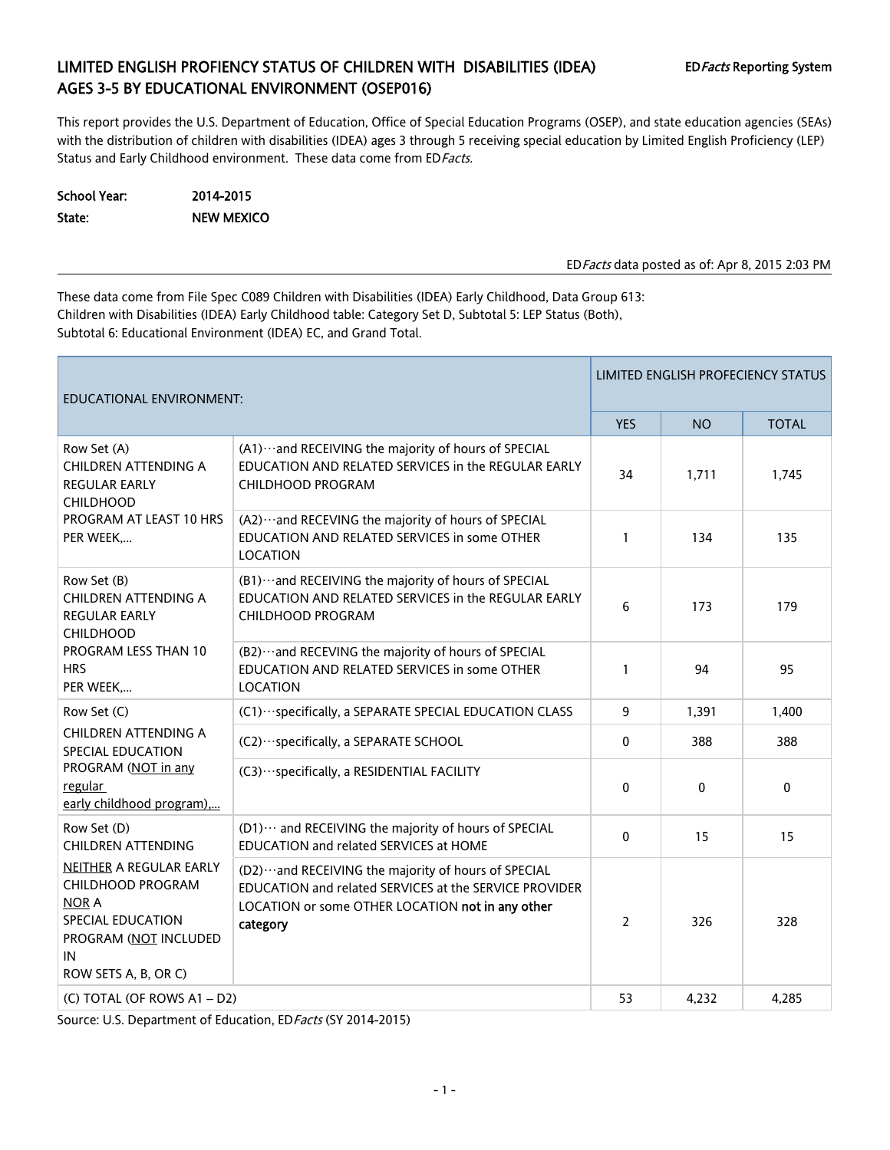# LIMITED ENGLISH PROFIENCY STATUS OF CHILDREN WITH DISABILITIES (IDEA) EDFacts Reporting System AGES 3-5 BY EDUCATIONAL ENVIRONMENT (OSEP016)

This report provides the U.S. Department of Education, Office of Special Education Programs (OSEP), and state education agencies (SEAs) with the distribution of children with disabilities (IDEA) ages 3 through 5 receiving special education by Limited English Proficiency (LEP) Status and Early Childhood environment. These data come from ED Facts.

| School Year: | 2014-2015         |
|--------------|-------------------|
| State:       | <b>NEW MEXICO</b> |

EDFacts data posted as of: Apr 8, 2015 2:03 PM

These data come from File Spec C089 Children with Disabilities (IDEA) Early Childhood, Data Group 613: Children with Disabilities (IDEA) Early Childhood table: Category Set D, Subtotal 5: LEP Status (Both), Subtotal 6: Educational Environment (IDEA) EC, and Grand Total.

| EDUCATIONAL ENVIRONMENT:                                                                                                                 |                                                                                                                                                                                   | LIMITED ENGLISH PROFECIENCY STATUS |              |              |
|------------------------------------------------------------------------------------------------------------------------------------------|-----------------------------------------------------------------------------------------------------------------------------------------------------------------------------------|------------------------------------|--------------|--------------|
|                                                                                                                                          |                                                                                                                                                                                   | <b>YES</b>                         | <b>NO</b>    | <b>TOTAL</b> |
| Row Set (A)<br>CHILDREN ATTENDING A<br>REGULAR EARLY<br><b>CHILDHOOD</b>                                                                 | (A1) ··· and RECEIVING the majority of hours of SPECIAL<br>EDUCATION AND RELATED SERVICES in the REGULAR EARLY<br>CHILDHOOD PROGRAM                                               | 34                                 | 1,711        | 1,745        |
| PROGRAM AT LEAST 10 HRS<br>PER WEEK                                                                                                      | (A2) ··· and RECEVING the majority of hours of SPECIAL<br>EDUCATION AND RELATED SERVICES in some OTHER<br><b>LOCATION</b>                                                         | $\mathbf{1}$                       | 134          | 135          |
| Row Set (B)<br>CHILDREN ATTENDING A<br><b>REGULAR EARLY</b><br><b>CHILDHOOD</b>                                                          | (B1) ··· and RECEIVING the majority of hours of SPECIAL<br>EDUCATION AND RELATED SERVICES in the REGULAR EARLY<br><b>CHILDHOOD PROGRAM</b>                                        | 6                                  | 173          | 179          |
| <b>PROGRAM LESS THAN 10</b><br><b>HRS</b><br>PER WEEK                                                                                    | (B2) ··· and RECEVING the majority of hours of SPECIAL<br>EDUCATION AND RELATED SERVICES in some OTHER<br>LOCATION                                                                | $\mathbf{1}$                       | 94           | 95           |
| Row Set (C)<br>CHILDREN ATTENDING A<br>SPECIAL EDUCATION<br>PROGRAM (NOT in any<br>regular<br>early childhood program),                  | (C1) ··· specifically, a SEPARATE SPECIAL EDUCATION CLASS                                                                                                                         | 9                                  | 1,391        | 1,400        |
|                                                                                                                                          | (C2) ··· specifically, a SEPARATE SCHOOL                                                                                                                                          | 0                                  | 388          | 388          |
|                                                                                                                                          | (C3) ··· specifically, a RESIDENTIAL FACILITY                                                                                                                                     | $\Omega$                           | $\mathbf{0}$ | 0            |
| Row Set (D)<br><b>CHILDREN ATTENDING</b>                                                                                                 | (D1) ··· and RECEIVING the majority of hours of SPECIAL<br>EDUCATION and related SERVICES at HOME                                                                                 | $\mathbf{0}$                       | 15           | 15           |
| NEITHER A REGULAR EARLY<br>CHILDHOOD PROGRAM<br><b>NOR A</b><br>SPECIAL EDUCATION<br>PROGRAM (NOT INCLUDED<br>IN<br>ROW SETS A, B, OR C) | (D2) ··· and RECEIVING the majority of hours of SPECIAL<br>EDUCATION and related SERVICES at the SERVICE PROVIDER<br>LOCATION or some OTHER LOCATION not in any other<br>category | $\overline{2}$                     | 326          | 328          |
| (C) TOTAL (OF ROWS A1 - D2)                                                                                                              |                                                                                                                                                                                   | 53                                 | 4,232        | 4,285        |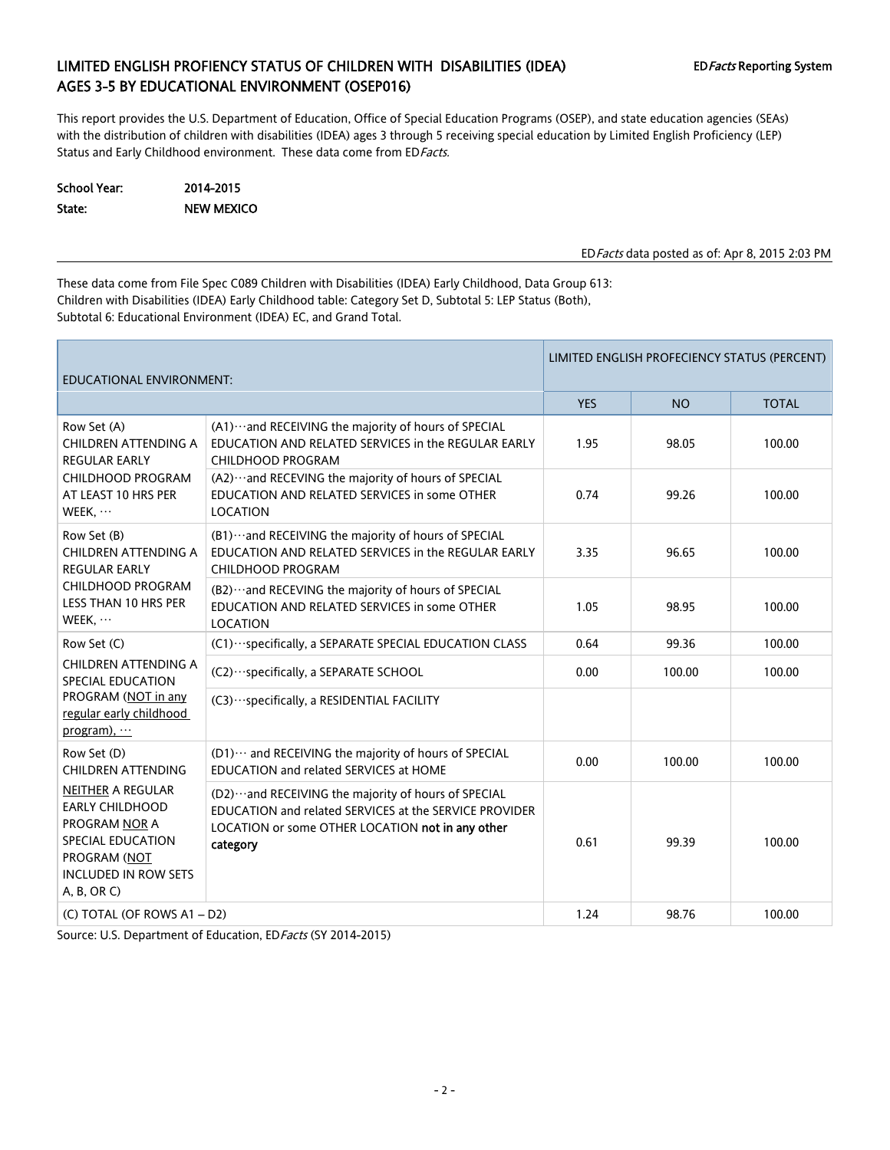## LIMITED ENGLISH PROFIENCY STATUS OF CHILDREN WITH DISABILITIES (IDEA) EDFacts Reporting System AGES 3-5 BY EDUCATIONAL ENVIRONMENT (OSEP016)

This report provides the U.S. Department of Education, Office of Special Education Programs (OSEP), and state education agencies (SEAs) with the distribution of children with disabilities (IDEA) ages 3 through 5 receiving special education by Limited English Proficiency (LEP) Status and Early Childhood environment. These data come from ED Facts.

School Year: 2014-2015 State: NEW MEXICO

EDFacts data posted as of: Apr 8, 2015 2:03 PM

These data come from File Spec C089 Children with Disabilities (IDEA) Early Childhood, Data Group 613: Children with Disabilities (IDEA) Early Childhood table: Category Set D, Subtotal 5: LEP Status (Both), Subtotal 6: Educational Environment (IDEA) EC, and Grand Total.

| EDUCATIONAL ENVIRONMENT:                                                                                                                                                                                                     |                                                                                                                                                                       | LIMITED ENGLISH PROFECIENCY STATUS (PERCENT) |           |              |  |
|------------------------------------------------------------------------------------------------------------------------------------------------------------------------------------------------------------------------------|-----------------------------------------------------------------------------------------------------------------------------------------------------------------------|----------------------------------------------|-----------|--------------|--|
|                                                                                                                                                                                                                              |                                                                                                                                                                       | <b>YES</b>                                   | <b>NO</b> | <b>TOTAL</b> |  |
| Row Set (A)<br><b>CHILDREN ATTENDING A</b><br><b>REGULAR EARLY</b>                                                                                                                                                           | (A1) ··· and RECEIVING the majority of hours of SPECIAL<br>EDUCATION AND RELATED SERVICES in the REGULAR EARLY<br>CHILDHOOD PROGRAM                                   | 1.95                                         | 98.05     | 100.00       |  |
| CHILDHOOD PROGRAM<br>AT LEAST 10 HRS PER<br>WEEK, $\cdots$                                                                                                                                                                   | (A2) ··· and RECEVING the majority of hours of SPECIAL<br>EDUCATION AND RELATED SERVICES in some OTHER<br><b>LOCATION</b>                                             | 0.74                                         | 99.26     | 100.00       |  |
| Row Set (B)<br>CHILDREN ATTENDING A<br><b>REGULAR EARLY</b>                                                                                                                                                                  | (B1) ··· and RECEIVING the majority of hours of SPECIAL<br>EDUCATION AND RELATED SERVICES in the REGULAR EARLY<br>CHILDHOOD PROGRAM                                   | 3.35                                         | 96.65     | 100.00       |  |
| CHILDHOOD PROGRAM<br>LESS THAN 10 HRS PER<br>WEEK,                                                                                                                                                                           | (B2) ··· and RECEVING the majority of hours of SPECIAL<br>EDUCATION AND RELATED SERVICES in some OTHER<br>LOCATION                                                    | 1.05                                         | 98.95     | 100.00       |  |
| Row Set (C)                                                                                                                                                                                                                  | (C1) ··· specifically, a SEPARATE SPECIAL EDUCATION CLASS                                                                                                             | 0.64                                         | 99.36     | 100.00       |  |
| CHILDREN ATTENDING A<br>SPECIAL EDUCATION<br>PROGRAM (NOT in any<br>regular early childhood<br>program), $\cdots$                                                                                                            | (C2) · · · specifically, a SEPARATE SCHOOL                                                                                                                            | 0.00                                         | 100.00    | 100.00       |  |
|                                                                                                                                                                                                                              | (C3) ··· specifically, a RESIDENTIAL FACILITY                                                                                                                         |                                              |           |              |  |
| Row Set (D)<br><b>CHILDREN ATTENDING</b><br><b>NEITHER A REGULAR</b><br><b>EARLY CHILDHOOD</b><br><b>PROGRAM NOR A</b><br><b>SPECIAL EDUCATION</b><br>category<br>PROGRAM (NOT<br><b>INCLUDED IN ROW SETS</b><br>A, B, OR C) | (D1)  and RECEIVING the majority of hours of SPECIAL<br>EDUCATION and related SERVICES at HOME                                                                        | 0.00                                         | 100.00    | 100.00       |  |
|                                                                                                                                                                                                                              | (D2) ··· and RECEIVING the majority of hours of SPECIAL<br>EDUCATION and related SERVICES at the SERVICE PROVIDER<br>LOCATION or some OTHER LOCATION not in any other | 0.61                                         | 99.39     | 100.00       |  |
| (C) TOTAL (OF ROWS A1-D2)                                                                                                                                                                                                    |                                                                                                                                                                       | 1.24                                         | 98.76     | 100.00       |  |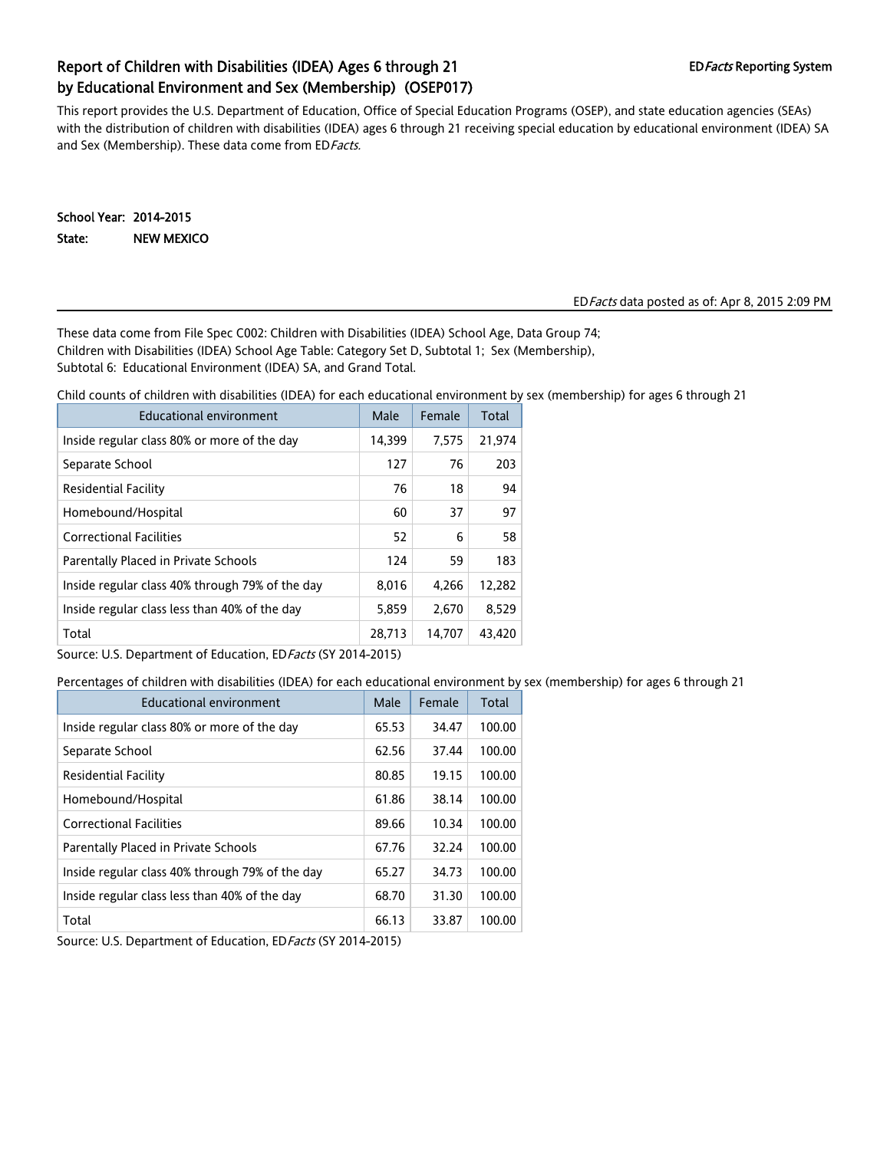# Report of Children with Disabilities (IDEA) Ages 6 through 21 EDFacts Reporting System by Educational Environment and Sex (Membership) (OSEP017)

This report provides the U.S. Department of Education, Office of Special Education Programs (OSEP), and state education agencies (SEAs) with the distribution of children with disabilities (IDEA) ages 6 through 21 receiving special education by educational environment (IDEA) SA and Sex (Membership). These data come from ED Facts.

School Year: 2014-2015 State: NEW MEXICO

#### EDFacts data posted as of: Apr 8, 2015 2:09 PM

These data come from File Spec C002: Children with Disabilities (IDEA) School Age, Data Group 74; Children with Disabilities (IDEA) School Age Table: Category Set D, Subtotal 1; Sex (Membership), Subtotal 6: Educational Environment (IDEA) SA, and Grand Total.

Child counts of children with disabilities (IDEA) for each educational environment by sex (membership) for ages 6 through 21

| Educational environment                         | Male   | Female | Total  |
|-------------------------------------------------|--------|--------|--------|
| Inside regular class 80% or more of the day     | 14,399 | 7,575  | 21,974 |
| Separate School                                 | 127    | 76     | 203    |
| <b>Residential Facility</b>                     | 76     | 18     | 94     |
| Homebound/Hospital                              | 60     | 37     | 97     |
| <b>Correctional Facilities</b>                  | 52     | 6      | 58     |
| Parentally Placed in Private Schools            | 124    | 59     | 183    |
| Inside regular class 40% through 79% of the day | 8,016  | 4,266  | 12,282 |
| Inside regular class less than 40% of the day   | 5,859  | 2,670  | 8,529  |
| Total                                           | 28,713 | 14.707 | 43,420 |

Source: U.S. Department of Education, ED Facts (SY 2014-2015)

Percentages of children with disabilities (IDEA) for each educational environment by sex (membership) for ages 6 through 21

| Educational environment                         | Male  | Female | Total  |
|-------------------------------------------------|-------|--------|--------|
| Inside regular class 80% or more of the day     | 65.53 | 34.47  | 100.00 |
| Separate School                                 | 62.56 | 37.44  | 100.00 |
| <b>Residential Facility</b>                     | 80.85 | 19.15  | 100.00 |
| Homebound/Hospital                              | 61.86 | 38.14  | 100.00 |
| <b>Correctional Facilities</b>                  | 89.66 | 10.34  | 100.00 |
| Parentally Placed in Private Schools            | 67.76 | 32.24  | 100.00 |
| Inside regular class 40% through 79% of the day | 65.27 | 34.73  | 100.00 |
| Inside regular class less than 40% of the day   | 68.70 | 31.30  | 100.00 |
| Total                                           | 66.13 | 33.87  | 100.00 |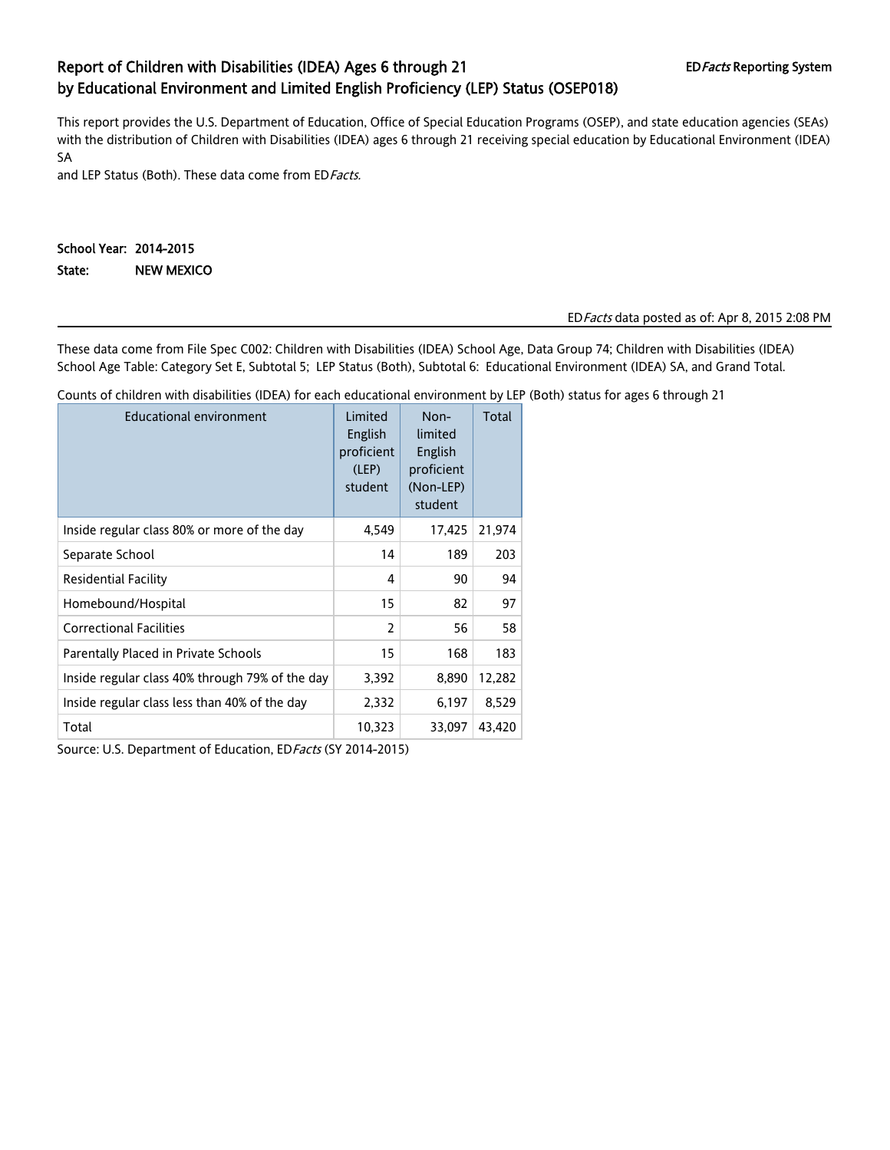# Report of Children with Disabilities (IDEA) Ages 6 through 21 EDFacts Reporting System by Educational Environment and Limited English Proficiency (LEP) Status (OSEP018)

This report provides the U.S. Department of Education, Office of Special Education Programs (OSEP), and state education agencies (SEAs) with the distribution of Children with Disabilities (IDEA) ages 6 through 21 receiving special education by Educational Environment (IDEA) SA

and LEP Status (Both). These data come from ED Facts.

## School Year: 2014-2015 State: NEW MEXICO

### EDFacts data posted as of: Apr 8, 2015 2:08 PM

These data come from File Spec C002: Children with Disabilities (IDEA) School Age, Data Group 74; Children with Disabilities (IDEA) School Age Table: Category Set E, Subtotal 5; LEP Status (Both), Subtotal 6: Educational Environment (IDEA) SA, and Grand Total.

Counts of children with disabilities (IDEA) for each educational environment by LEP (Both) status for ages 6 through 21

| <b>Educational environment</b>                  | Limited<br>English<br>proficient<br>(LEP)<br>student | Non-<br>limited<br>English<br>proficient<br>(Non-LEP)<br>student | Total  |
|-------------------------------------------------|------------------------------------------------------|------------------------------------------------------------------|--------|
| Inside regular class 80% or more of the day     | 4,549                                                | 17,425                                                           | 21,974 |
| Separate School                                 | 14                                                   | 189                                                              | 203    |
| <b>Residential Facility</b>                     | 4                                                    | 90                                                               | 94     |
| Homebound/Hospital                              | 15                                                   | 82                                                               | 97     |
| <b>Correctional Facilities</b>                  | 2                                                    | 56                                                               | 58     |
| Parentally Placed in Private Schools            | 15                                                   | 168                                                              | 183    |
| Inside regular class 40% through 79% of the day | 3,392                                                | 8,890                                                            | 12,282 |
| Inside regular class less than 40% of the day   | 2,332                                                | 6,197                                                            | 8,529  |
| Total                                           | 10,323                                               | 33,097                                                           | 43,420 |